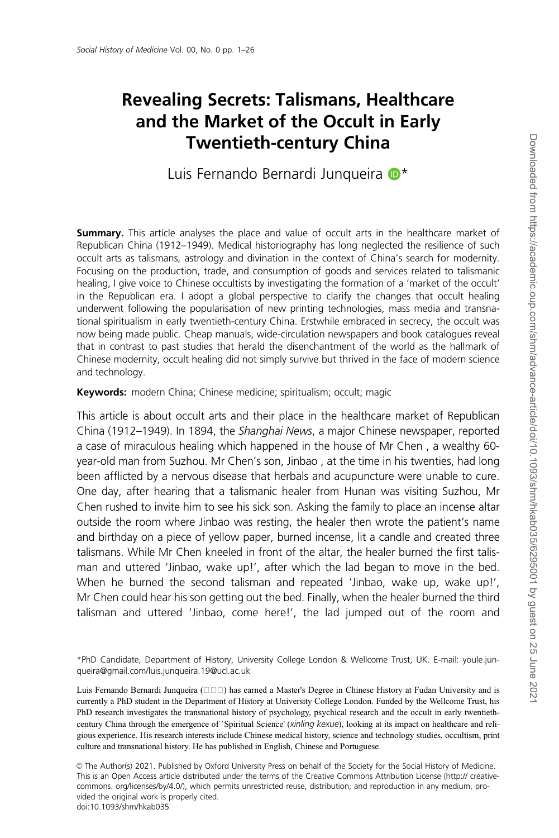# Revealing Secrets: Talismans, Healthcare and the Market of the Occult in Early Twentieth-century China

Luis Fernando Bernardi Junqueira  $\mathbb{D}^*$ 

**Summary.** This article analyses the place and value of occult arts in the healthcare market of Republican China (1912–1949). Medical historiography has long neglected the resilience of such occult arts as talismans, astrology and divination in the context of China's search for modernity. Focusing on the production, trade, and consumption of goods and services related to talismanic healing, I give voice to Chinese occultists by investigating the formation of a 'market of the occult' in the Republican era. I adopt a global perspective to clarify the changes that occult healing underwent following the popularisation of new printing technologies, mass media and transnational spiritualism in early twentieth-century China. Erstwhile embraced in secrecy, the occult was now being made public. Cheap manuals, wide-circulation newspapers and book catalogues reveal that in contrast to past studies that herald the disenchantment of the world as the hallmark of Chinese modernity, occult healing did not simply survive but thrived in the face of modern science and technology.

Keywords: modern China; Chinese medicine; spiritualism; occult; magic

This article is about occult arts and their place in the healthcare market of Republican China (1912–1949). In 1894, the Shanghai News, a major Chinese newspaper, reported a case of miraculous healing which happened in the house of Mr Chen , a wealthy 60 year-old man from Suzhou. Mr Chen's son, Jinbao , at the time in his twenties, had long been afflicted by a nervous disease that herbals and acupuncture were unable to cure. One day, after hearing that a talismanic healer from Hunan was visiting Suzhou, Mr Chen rushed to invite him to see his sick son. Asking the family to place an incense altar outside the room where Jinbao was resting, the healer then wrote the patient's name and birthday on a piece of yellow paper, burned incense, lit a candle and created three talismans. While Mr Chen kneeled in front of the altar, the healer burned the first talisman and uttered 'Jinbao, wake up!', after which the lad began to move in the bed. When he burned the second talisman and repeated 'Jinbao, wake up, wake up!', Mr Chen could hear his son getting out the bed. Finally, when the healer burned the third talisman and uttered 'Jinbao, come here!', the lad jumped out of the room and

\*PhD Candidate, Department of History, University College London & Wellcome Trust, UK. E-mail: youle.junqueira@gmail.com/luis.junqueira.19@ucl.ac.uk

Luis Fernando Bernardi Junqueira ( $\Box$  $\Box$ ) has earned a Master's Degree in Chinese History at Fudan University and is currently a PhD student in the Department of History at University College London. Funded by the Wellcome Trust, his PhD research investigates the transnational history of psychology, psychical research and the occult in early twentiethcentury China through the emergence of `Spiritual Science' (xinling kexue), looking at its impact on healthcare and religious experience. His research interests include Chinese medical history, science and technology studies, occultism, print culture and transnational history. He has published in English, Chinese and Portuguese.

V<sup>C</sup> The Author(s) 2021. Published by Oxford University Press on behalf of the Society for the Social History of Medicine. This is an Open Access article distributed under the terms of the Creative Commons Attribution License (http:// creativecommons. org/licenses/by/4.0/), which permits unrestricted reuse, distribution, and reproduction in any medium, provided the original work is properly cited. doi:10.1093/shm/hkab035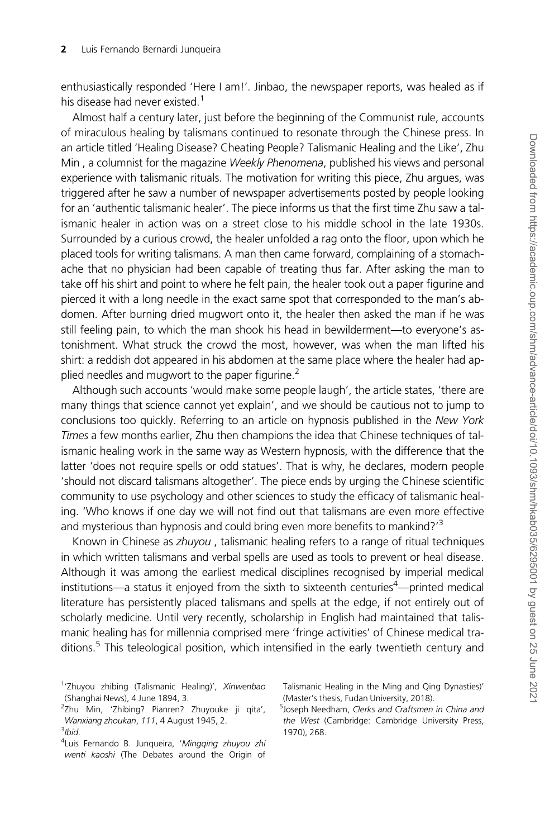enthusiastically responded 'Here I am!'. Jinbao, the newspaper reports, was healed as if his disease had never existed.<sup>1</sup>

Almost half a century later, just before the beginning of the Communist rule, accounts of miraculous healing by talismans continued to resonate through the Chinese press. In an article titled 'Healing Disease? Cheating People? Talismanic Healing and the Like', Zhu Min, a columnist for the magazine Weekly Phenomena, published his views and personal experience with talismanic rituals. The motivation for writing this piece, Zhu argues, was triggered after he saw a number of newspaper advertisements posted by people looking for an 'authentic talismanic healer'. The piece informs us that the first time Zhu saw a talismanic healer in action was on a street close to his middle school in the late 1930s. Surrounded by a curious crowd, the healer unfolded a rag onto the floor, upon which he placed tools for writing talismans. A man then came forward, complaining of a stomachache that no physician had been capable of treating thus far. After asking the man to take off his shirt and point to where he felt pain, the healer took out a paper figurine and pierced it with a long needle in the exact same spot that corresponded to the man's abdomen. After burning dried mugwort onto it, the healer then asked the man if he was still feeling pain, to which the man shook his head in bewilderment—to everyone's astonishment. What struck the crowd the most, however, was when the man lifted his shirt: a reddish dot appeared in his abdomen at the same place where the healer had applied needles and mugwort to the paper figurine. $2$ 

Although such accounts 'would make some people laugh', the article states, 'there are many things that science cannot yet explain', and we should be cautious not to jump to conclusions too quickly. Referring to an article on hypnosis published in the New York Times a few months earlier, Zhu then champions the idea that Chinese techniques of talismanic healing work in the same way as Western hypnosis, with the difference that the latter 'does not require spells or odd statues'. That is why, he declares, modern people 'should not discard talismans altogether'. The piece ends by urging the Chinese scientific community to use psychology and other sciences to study the efficacy of talismanic healing. 'Who knows if one day we will not find out that talismans are even more effective and mysterious than hypnosis and could bring even more benefits to mankind?<sup>3</sup>

Known in Chinese as zhuyou, talismanic healing refers to a range of ritual techniques in which written talismans and verbal spells are used as tools to prevent or heal disease. Although it was among the earliest medical disciplines recognised by imperial medical institutions—a status it enjoyed from the sixth to sixteenth centuries<sup>4</sup>—printed medical literature has persistently placed talismans and spells at the edge, if not entirely out of scholarly medicine. Until very recently, scholarship in English had maintained that talismanic healing has for millennia comprised mere 'fringe activities' of Chinese medical traditions.<sup>5</sup> This teleological position, which intensified in the early twentieth century and

Talismanic Healing in the Ming and Qing Dynasties)' (Master's thesis, Fudan University, 2018).

<sup>5</sup>Joseph Needham, Clerks and Craftsmen in China and the West (Cambridge: Cambridge University Press, 1970), 268.

<sup>&</sup>lt;sup>1</sup>'Zhuyou zhibing (Talismanic Healing)', Xinwenbao (Shanghai News), 4 June 1894, 3.

<sup>&</sup>lt;sup>2</sup>Zhu Min, 'Zhibing? Pianren? Zhuyouke ji qita', Wanxiang zhoukan, 111, 4 August 1945, 2. 3 Ibid.

<sup>&</sup>lt;sup>4</sup>Luis Fernando B. Junqueira, 'Mingqing zhuyou zhi wenti kaoshi (The Debates around the Origin of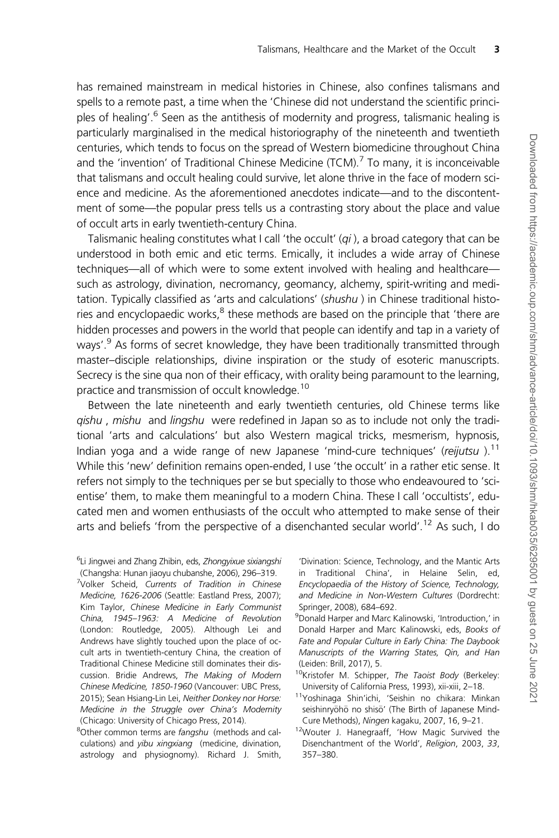has remained mainstream in medical histories in Chinese, also confines talismans and spells to a remote past, a time when the 'Chinese did not understand the scientific principles of healing'.<sup>6</sup> Seen as the antithesis of modernity and progress, talismanic healing is particularly marginalised in the medical historiography of the nineteenth and twentieth centuries, which tends to focus on the spread of Western biomedicine throughout China and the 'invention' of Traditional Chinese Medicine (TCM).<sup>7</sup> To many, it is inconceivable that talismans and occult healing could survive, let alone thrive in the face of modern science and medicine. As the aforementioned anecdotes indicate—and to the discontentment of some—the popular press tells us a contrasting story about the place and value of occult arts in early twentieth-century China.

Talismanic healing constitutes what I call 'the occult'  $(qi)$ , a broad category that can be understood in both emic and etic terms. Emically, it includes a wide array of Chinese techniques—all of which were to some extent involved with healing and healthcare such as astrology, divination, necromancy, geomancy, alchemy, spirit-writing and meditation. Typically classified as 'arts and calculations' (shushu) in Chinese traditional histories and encyclopaedic works, $8$  these methods are based on the principle that 'there are hidden processes and powers in the world that people can identify and tap in a variety of ways'.<sup>9</sup> As forms of secret knowledge, they have been traditionally transmitted through master–disciple relationships, divine inspiration or the study of esoteric manuscripts. Secrecy is the sine qua non of their efficacy, with orality being paramount to the learning, practice and transmission of occult knowledge.<sup>10</sup>

Between the late nineteenth and early twentieth centuries, old Chinese terms like gishu, mishu and lingshu were redefined in Japan so as to include not only the traditional 'arts and calculations' but also Western magical tricks, mesmerism, hypnosis, Indian yoga and a wide range of new Japanese 'mind-cure techniques' (reijutsu).<sup>11</sup> While this 'new' definition remains open-ended, I use 'the occult' in a rather etic sense. It refers not simply to the techniques per se but specially to those who endeavoured to 'scientise' them, to make them meaningful to a modern China. These I call 'occultists', educated men and women enthusiasts of the occult who attempted to make sense of their arts and beliefs 'from the perspective of a disenchanted secular world'.<sup>12</sup> As such, I do

<sup>8</sup>Other common terms are fangshu (methods and calculations) and yibu xingxiang (medicine, divination, astrology and physiognomy). Richard J. Smith, 'Divination: Science, Technology, and the Mantic Arts in Traditional China', in Helaine Selin, ed, Encyclopaedia of the History of Science, Technology, and Medicine in Non-Western Cultures (Dordrecht: Springer, 2008), 684–692.

9 Donald Harper and Marc Kalinowski, 'Introduction,' in Donald Harper and Marc Kalinowski, eds, Books of Fate and Popular Culture in Early China: The Daybook Manuscripts of the Warring States, Qin, and Han (Leiden: Brill, 2017), 5.

- <sup>10</sup>Kristofer M. Schipper, The Taoist Body (Berkeley: University of California Press, 1993), xii-xiii, 2–18.
- 11Yoshinaga Shin'ichi, 'Seishin no chikara: Minkan seishinryoho no shiso' (The Birth of Japanese Mind-Cure Methods), Ningen kagaku, 2007, 16, 9–21.
- 12Wouter J. Hanegraaff, 'How Magic Survived the Disenchantment of the World', Religion, 2003, 33, 357–380.

<sup>&</sup>lt;sup>6</sup>Li Jingwei and Zhang Zhibin, eds, Zhongyixue sixiangshi (Changsha: Hunan jiaoyu chubanshe, 2006), 296–319.

<sup>&</sup>lt;sup>7</sup>Volker Scheid, Currents of Tradition in Chinese Medicine, 1626-2006 (Seattle: Eastland Press, 2007); Kim Taylor, Chinese Medicine in Early Communist China, 1945–1963: A Medicine of Revolution (London: Routledge, 2005). Although Lei and Andrews have slightly touched upon the place of occult arts in twentieth-century China, the creation of Traditional Chinese Medicine still dominates their discussion. Bridie Andrews, The Making of Modern Chinese Medicine, 1850-1960 (Vancouver: UBC Press, 2015); Sean Hsiang-Lin Lei, Neither Donkey nor Horse: Medicine in the Struggle over China's Modernity (Chicago: University of Chicago Press, 2014).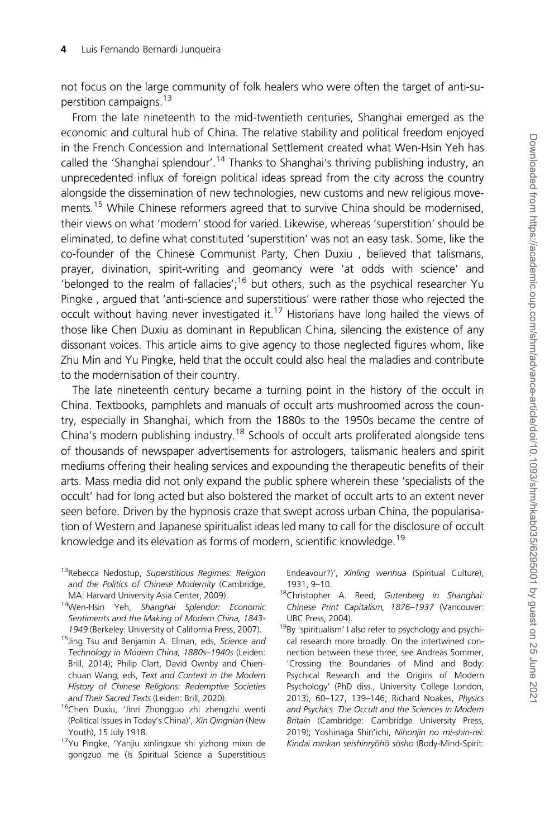not focus on the large community of folk healers who were often the target of anti-superstition campaigns.13

From the late nineteenth to the mid-twentieth centuries, Shanghai emerged as the economic and cultural hub of China. The relative stability and political freedom enjoyed in the French Concession and International Settlement created what Wen-Hsin Yeh has called the 'Shanghai splendour'.<sup>14</sup> Thanks to Shanghai's thriving publishing industry, an unprecedented influx of foreign political ideas spread from the city across the country alongside the dissemination of new technologies, new customs and new religious movements.<sup>15</sup> While Chinese reformers agreed that to survive China should be modernised, their views on what 'modern' stood for varied. Likewise, whereas 'superstition' should be eliminated, to define what constituted 'superstition' was not an easy task. Some, like the co-founder of the Chinese Communist Party, Chen Duxiu , believed that talismans, prayer, divination, spirit-writing and geomancy were 'at odds with science' and 'belonged to the realm of fallacies';<sup>16</sup> but others, such as the psychical researcher Yu Pingke , argued that 'anti-science and superstitious' were rather those who rejected the occult without having never investigated it.<sup>17</sup> Historians have long hailed the views of those like Chen Duxiu as dominant in Republican China, silencing the existence of any dissonant voices. This article aims to give agency to those neglected figures whom, like Zhu Min and Yu Pingke, held that the occult could also heal the maladies and contribute to the modernisation of their country.

The late nineteenth century became a turning point in the history of the occult in China. Textbooks, pamphlets and manuals of occult arts mushroomed across the country, especially in Shanghai, which from the 1880s to the 1950s became the centre of China's modern publishing industry.<sup>18</sup> Schools of occult arts proliferated alongside tens of thousands of newspaper advertisements for astrologers, talismanic healers and spirit mediums offering their healing services and expounding the therapeutic benefits of their arts. Mass media did not only expand the public sphere wherein these 'specialists of the occult' had for long acted but also bolstered the market of occult arts to an extent never seen before. Driven by the hypnosis craze that swept across urban China, the popularisation of Western and Japanese spiritualist ideas led many to call for the disclosure of occult knowledge and its elevation as forms of modern, scientific knowledge.<sup>19</sup>

- <sup>13</sup>Rebecca Nedostup, Superstitious Regimes: Religion and the Politics of Chinese Modernity (Cambridge, MA: Harvard University Asia Center, 2009).
- <sup>14</sup>Wen-Hsin Yeh, Shanghai Splendor: Economic Sentiments and the Making of Modern China, 1843- 1949 (Berkeley: University of California Press, 2007).
- <sup>15</sup>Jing Tsu and Benjamin A. Elman, eds, Science and Technology in Modern China, 1880s–1940s (Leiden: Brill, 2014); Philip Clart, David Ownby and Chienchuan Wang, eds, Text and Context in the Modern History of Chinese Religions: Redemptive Societies and Their Sacred Texts (Leiden: Brill, 2020).
- <sup>16</sup>Chen Duxiu, 'Jinri Zhongguo zhi zhengzhi wenti (Political Issues in Today's China)', Xin Qingnian (New Youth), 15 July 1918.
- 17Yu Pingke, 'Yanjiu xinlingxue shi yizhong mixin de gongzuo me (Is Spiritual Science a Superstitious

Endeavour?)', Xinling wenhua (Spiritual Culture), 1931, 9–10.

- <sup>18</sup>Christopher A. Reed, Gutenberg in Shanghai: Chinese Print Capitalism, 1876–1937 (Vancouver: UBC Press, 2004).
- 19By 'spiritualism' I also refer to psychology and psychical research more broadly. On the intertwined connection between these three, see Andreas Sommer, 'Crossing the Boundaries of Mind and Body: Psychical Research and the Origins of Modern Psychology' (PhD diss., University College London, 2013), 60–127, 139–146; Richard Noakes, Physics and Psychics: The Occult and the Sciences in Modern Britain (Cambridge: Cambridge University Press, 2019); Yoshinaga Shin'ichi, Nihonjin no mi-shin-rei: Kindai minkan seishinryōhō sōsho (Body-Mind-Spirit: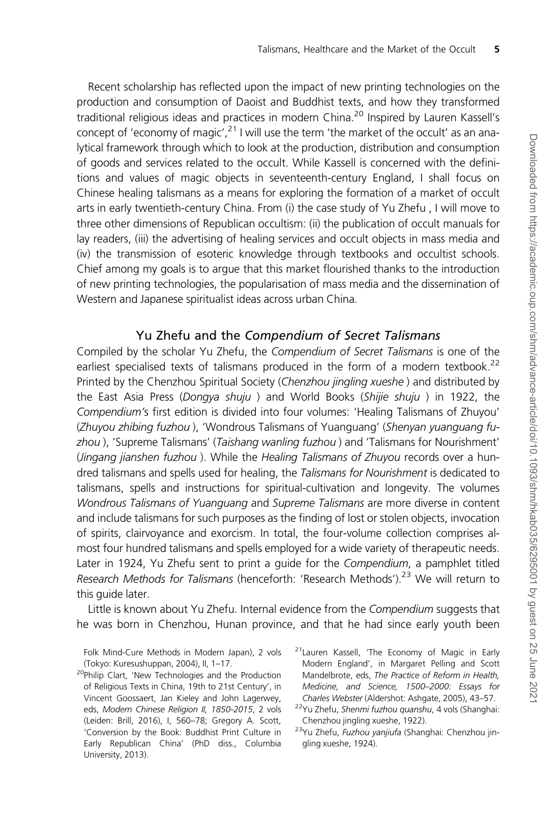Recent scholarship has reflected upon the impact of new printing technologies on the production and consumption of Daoist and Buddhist texts, and how they transformed traditional religious ideas and practices in modern China.<sup>20</sup> Inspired by Lauren Kassell's concept of 'economy of magic',  $^{21}$  I will use the term 'the market of the occult' as an analytical framework through which to look at the production, distribution and consumption of goods and services related to the occult. While Kassell is concerned with the definitions and values of magic objects in seventeenth-century England, I shall focus on Chinese healing talismans as a means for exploring the formation of a market of occult arts in early twentieth-century China. From (i) the case study of Yu Zhefu , I will move to three other dimensions of Republican occultism: (ii) the publication of occult manuals for lay readers, (iii) the advertising of healing services and occult objects in mass media and (iv) the transmission of esoteric knowledge through textbooks and occultist schools. Chief among my goals is to argue that this market flourished thanks to the introduction of new printing technologies, the popularisation of mass media and the dissemination of Western and Japanese spiritualist ideas across urban China.

#### Yu Zhefu and the Compendium of Secret Talismans

Compiled by the scholar Yu Zhefu, the Compendium of Secret Talismans is one of the earliest specialised texts of talismans produced in the form of a modern textbook.<sup>22</sup> Printed by the Chenzhou Spiritual Society (Chenzhou jingling xueshe) and distributed by the East Asia Press (Dongya shuju ) and World Books (Shijie shuju ) in 1922, the Compendium's first edition is divided into four volumes: 'Healing Talismans of Zhuyou' (Zhuyou zhibing fuzhou ), 'Wondrous Talismans of Yuanguang' (Shenyan yuanguang fuzhou ), 'Supreme Talismans' (Taishang wanling fuzhou ) and 'Talismans for Nourishment' (Jingang jianshen fuzhou ). While the Healing Talismans of Zhuyou records over a hundred talismans and spells used for healing, the Talismans for Nourishment is dedicated to talismans, spells and instructions for spiritual-cultivation and longevity. The volumes Wondrous Talismans of Yuanguang and Supreme Talismans are more diverse in content and include talismans for such purposes as the finding of lost or stolen objects, invocation of spirits, clairvoyance and exorcism. In total, the four-volume collection comprises almost four hundred talismans and spells employed for a wide variety of therapeutic needs. Later in 1924, Yu Zhefu sent to print a quide for the Compendium, a pamphlet titled Research Methods for Talismans (henceforth: 'Research Methods').<sup>23</sup> We will return to this guide later.

Little is known about Yu Zhefu. Internal evidence from the Compendium suggests that he was born in Chenzhou, Hunan province, and that he had since early youth been

Folk Mind-Cure Methods in Modern Japan), 2 vols (Tokyo: Kuresushuppan, 2004), II, 1–17.

- <sup>20</sup>Philip Clart, 'New Technologies and the Production of Religious Texts in China, 19th to 21st Century', in Vincent Goossaert, Jan Kieley and John Lagerwey, eds, Modern Chinese Religion II, 1850-2015, 2 vols (Leiden: Brill, 2016), I, 560–78; Gregory A. Scott, 'Conversion by the Book: Buddhist Print Culture in Early Republican China' (PhD diss., Columbia University, 2013).
- 21Lauren Kassell, 'The Economy of Magic in Early Modern England', in Margaret Pelling and Scott Mandelbrote, eds, The Practice of Reform in Health, Medicine, and Science, 1500–2000: Essays for Charles Webster (Aldershot: Ashgate, 2005), 43–57.

<sup>&</sup>lt;sup>22</sup>Yu Zhefu, Shenmi fuzhou quanshu, 4 vols (Shanghai: Chenzhou jingling xueshe, 1922).

<sup>23</sup>Yu Zhefu, Fuzhou yanjiufa (Shanghai: Chenzhou jingling xueshe, 1924).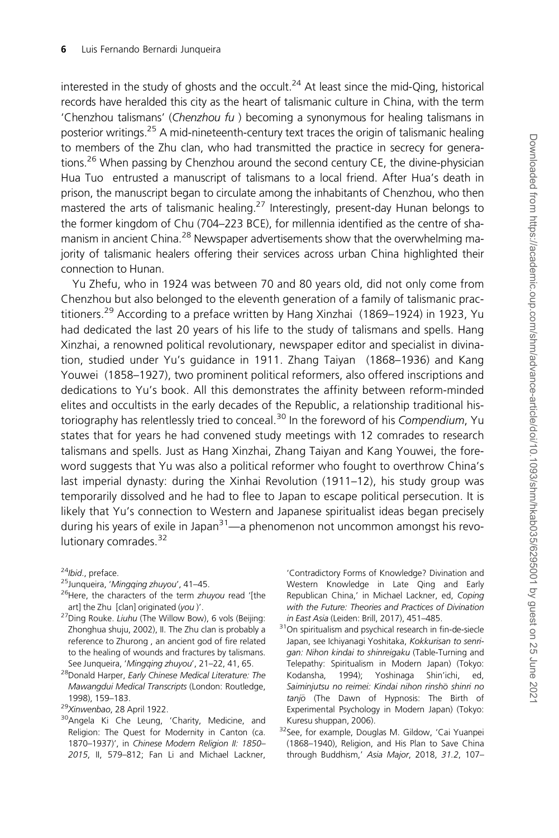interested in the study of ghosts and the occult.<sup>24</sup> At least since the mid-Qing, historical records have heralded this city as the heart of talismanic culture in China, with the term 'Chenzhou talismans' (Chenzhou fu ) becoming a synonymous for healing talismans in posterior writings.<sup>25</sup> A mid-nineteenth-century text traces the origin of talismanic healing to members of the Zhu clan, who had transmitted the practice in secrecy for generations.<sup>26</sup> When passing by Chenzhou around the second century CE, the divine-physician Hua Tuo entrusted a manuscript of talismans to a local friend. After Hua's death in prison, the manuscript began to circulate among the inhabitants of Chenzhou, who then mastered the arts of talismanic healing.<sup>27</sup> Interestingly, present-day Hunan belongs to the former kingdom of Chu (704–223 BCE), for millennia identified as the centre of shamanism in ancient China.<sup>28</sup> Newspaper advertisements show that the overwhelming majority of talismanic healers offering their services across urban China highlighted their connection to Hunan.

Yu Zhefu, who in 1924 was between 70 and 80 years old, did not only come from Chenzhou but also belonged to the eleventh generation of a family of talismanic practitioners.<sup>29</sup> According to a preface written by Hang Xinzhai (1869–1924) in 1923, Yu had dedicated the last 20 years of his life to the study of talismans and spells. Hang Xinzhai, a renowned political revolutionary, newspaper editor and specialist in divination, studied under Yu's guidance in 1911. Zhang Taiyan (1868–1936) and Kang Youwei (1858–1927), two prominent political reformers, also offered inscriptions and dedications to Yu's book. All this demonstrates the affinity between reform-minded elites and occultists in the early decades of the Republic, a relationship traditional historiography has relentlessly tried to conceal.<sup>30</sup> In the foreword of his Compendium, Yu states that for years he had convened study meetings with 12 comrades to research talismans and spells. Just as Hang Xinzhai, Zhang Taiyan and Kang Youwei, the foreword suggests that Yu was also a political reformer who fought to overthrow China's last imperial dynasty: during the Xinhai Revolution (1911–12), his study group was temporarily dissolved and he had to flee to Japan to escape political persecution. It is likely that Yu's connection to Western and Japanese spiritualist ideas began precisely during his years of exile in Japan $3^1$ —a phenomenon not uncommon amongst his revolutionary comrades.<sup>32</sup>

<sup>24</sup>Ibid., preface.

- 25Junqueira, 'Mingqing zhuyou', 41–45.
- <sup>26</sup>Here, the characters of the term zhuyou read '[the art] the Zhu [clan] originated (you )'.
- <sup>27</sup>Ding Rouke. Liuhu (The Willow Bow), 6 vols (Beijing: Zhonghua shuju, 2002), II. The Zhu clan is probably a reference to Zhurong , an ancient god of fire related to the healing of wounds and fractures by talismans. See Junqueira, 'Mingging zhuyou', 21-22, 41, 65.
- <sup>28</sup>Donald Harper, Early Chinese Medical Literature: The Mawangdui Medical Transcripts (London: Routledge, 1998), 159–183.
- <sup>29</sup>Xinwenbao, 28 April 1922.
- <sup>30</sup>Angela Ki Che Leung, 'Charity, Medicine, and Religion: The Quest for Modernity in Canton (ca. 1870–1937)', in Chinese Modern Religion II: 1850– 2015, II, 579–812; Fan Li and Michael Lackner,

'Contradictory Forms of Knowledge? Divination and Western Knowledge in Late Qing and Early Republican China,' in Michael Lackner, ed, Coping with the Future: Theories and Practices of Divination in East Asia (Leiden: Brill, 2017), 451–485.

- <sup>31</sup>On spiritualism and psychical research in fin-de-siecle Japan, see Ichiyanagi Yoshitaka, Kokkurisan to senrigan: Nihon kindai to shinreigaku (Table-Turning and Telepathy: Spiritualism in Modern Japan) (Tokyo: Kodansha, 1994); Yoshinaga Shin'ichi, ed, Saiminjutsu no reimei: Kindai nihon rinshō shinri no tanjō (The Dawn of Hypnosis: The Birth of Experimental Psychology in Modern Japan) (Tokyo: Kuresu shuppan, 2006).
- 32See, for example, Douglas M. Gildow, 'Cai Yuanpei (1868–1940), Religion, and His Plan to Save China through Buddhism,' Asia Major, 2018, 31.2, 107–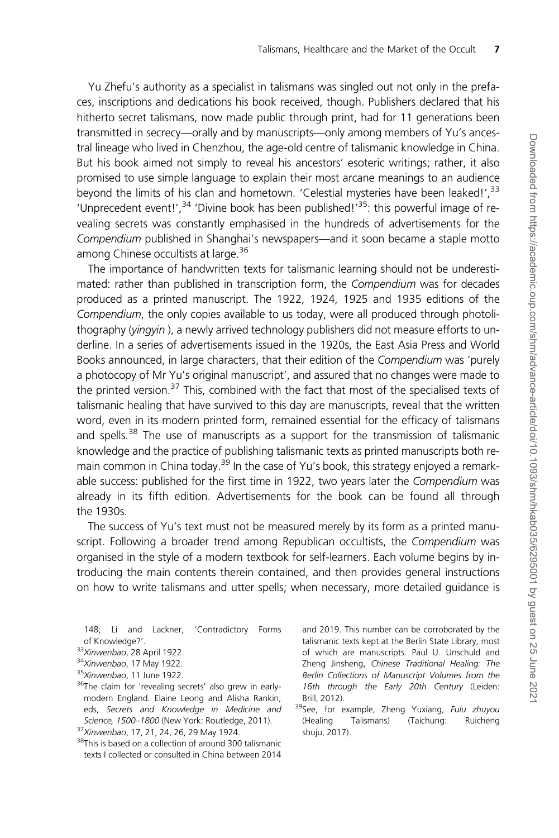Yu Zhefu's authority as a specialist in talismans was singled out not only in the prefaces, inscriptions and dedications his book received, though. Publishers declared that his hitherto secret talismans, now made public through print, had for 11 generations been transmitted in secrecy—orally and by manuscripts—only among members of Yu's ancestral lineage who lived in Chenzhou, the age-old centre of talismanic knowledge in China. But his book aimed not simply to reveal his ancestors' esoteric writings; rather, it also promised to use simple language to explain their most arcane meanings to an audience beyond the limits of his clan and hometown. 'Celestial mysteries have been leaked!',<sup>33</sup> 'Unprecedent event!',<sup>34</sup> 'Divine book has been published!'<sup>35</sup>: this powerful image of revealing secrets was constantly emphasised in the hundreds of advertisements for the Compendium published in Shanghai's newspapers—and it soon became a staple motto among Chinese occultists at large.<sup>36</sup>

The importance of handwritten texts for talismanic learning should not be underestimated: rather than published in transcription form, the Compendium was for decades produced as a printed manuscript. The 1922, 1924, 1925 and 1935 editions of the Compendium, the only copies available to us today, were all produced through photolithography (yingyin ), a newly arrived technology publishers did not measure efforts to underline. In a series of advertisements issued in the 1920s, the East Asia Press and World Books announced, in large characters, that their edition of the Compendium was 'purely a photocopy of Mr Yu's original manuscript', and assured that no changes were made to the printed version.<sup>37</sup> This, combined with the fact that most of the specialised texts of talismanic healing that have survived to this day are manuscripts, reveal that the written word, even in its modern printed form, remained essential for the efficacy of talismans and spells.<sup>38</sup> The use of manuscripts as a support for the transmission of talismanic knowledge and the practice of publishing talismanic texts as printed manuscripts both remain common in China today.<sup>39</sup> In the case of Yu's book, this strategy enjoyed a remarkable success: published for the first time in 1922, two years later the Compendium was already in its fifth edition. Advertisements for the book can be found all through the 1930s.

The success of Yu's text must not be measured merely by its form as a printed manuscript. Following a broader trend among Republican occultists, the Compendium was organised in the style of a modern textbook for self-learners. Each volume begins by introducing the main contents therein contained, and then provides general instructions on how to write talismans and utter spells; when necessary, more detailed guidance is

148; Li and Lackner, 'Contradictory Forms of Knowledge?'.

- 34Xinwenbao, 17 May 1922.
- 35Xinwenbao, 11 June 1922.
- <sup>36</sup>The claim for 'revealing secrets' also grew in earlymodern England. Elaine Leong and Alisha Rankin, eds, Secrets and Knowledge in Medicine and Science, 1500–1800 (New York: Routledge, 2011). <sup>37</sup>Xinwenbao, 17, 21, 24, 26, 29 May 1924.
- <sup>38</sup>This is based on a collection of around 300 talismanic texts I collected or consulted in China between 2014

and 2019. This number can be corroborated by the talismanic texts kept at the Berlin State Library, most of which are manuscripts. Paul U. Unschuld and Zheng Jinsheng, Chinese Traditional Healing: The Berlin Collections of Manuscript Volumes from the 16th through the Early 20th Century (Leiden: Brill, 2012).

<sup>39</sup>See, for example, Zheng Yuxiang, Fulu zhuyou (Healing Talismans) (Taichung: Ruicheng shuju, 2017).

<sup>33</sup>Xinwenbao, 28 April 1922.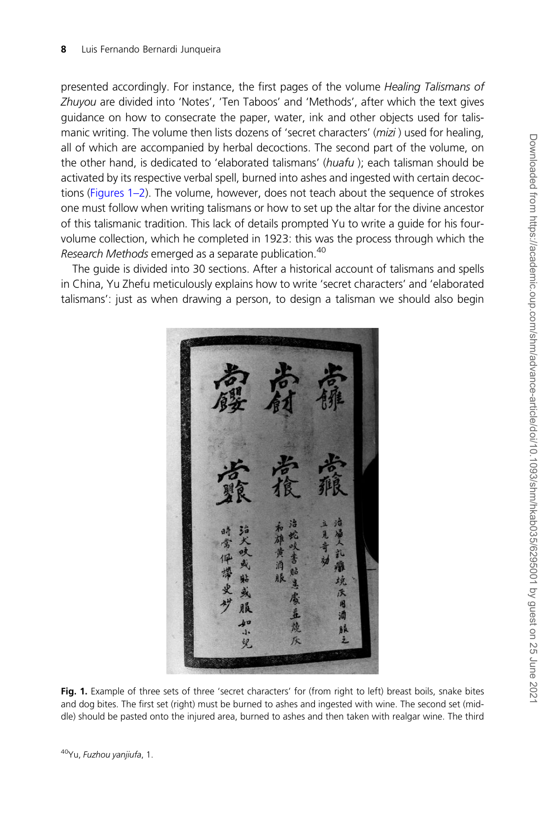<span id="page-7-0"></span>presented accordingly. For instance, the first pages of the volume Healing Talismans of Zhuyou are divided into 'Notes', 'Ten Taboos' and 'Methods', after which the text gives guidance on how to consecrate the paper, water, ink and other objects used for talismanic writing. The volume then lists dozens of 'secret characters' (mizi) used for healing, all of which are accompanied by herbal decoctions. The second part of the volume, on the other hand, is dedicated to 'elaborated talismans' (huafu); each talisman should be activated by its respective verbal spell, burned into ashes and ingested with certain decoctions (Figures 1–2). The volume, however, does not teach about the sequence of strokes one must follow when writing talismans or how to set up the altar for the divine ancestor of this talismanic tradition. This lack of details prompted Yu to write a guide for his fourvolume collection, which he completed in 1923: this was the process through which the Research Methods emerged as a separate publication.<sup>40</sup>

The guide is divided into 30 sections. After a historical account of talismans and spells in China, Yu Zhefu meticulously explains how to write 'secret characters' and 'elaborated talismans': just as when drawing a person, to design a talisman we should also begin



Fig. 1. Example of three sets of three 'secret characters' for (from right to left) breast boils, snake bites and dog bites. The first set (right) must be burned to ashes and ingested with wine. The second set (middle) should be pasted onto the injured area, burned to ashes and then taken with realgar wine. The third

<sup>40</sup>Yu, Fuzhou yanjiufa, 1.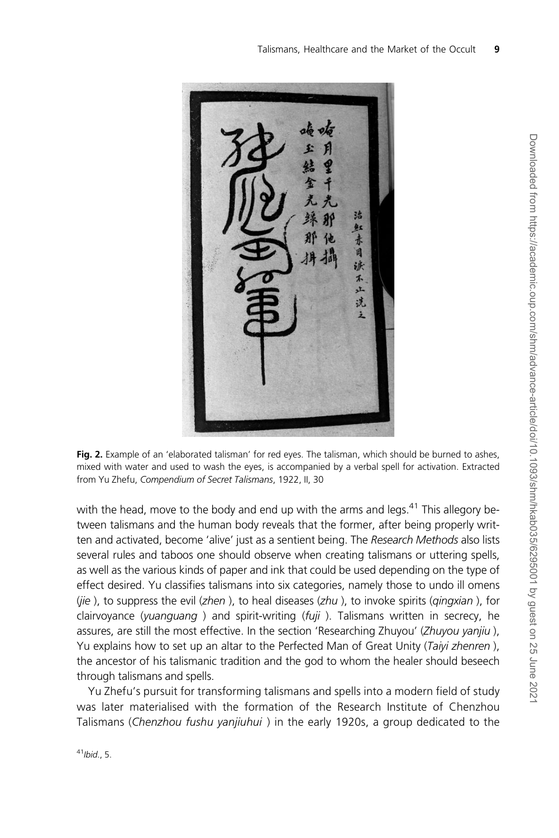

Fig. 2. Example of an 'elaborated talisman' for red eyes. The talisman, which should be burned to ashes, mixed with water and used to wash the eyes, is accompanied by a verbal spell for activation. Extracted from Yu Zhefu, Compendium of Secret Talismans, 1922, II, 30

with the head, move to the body and end up with the arms and legs.<sup>41</sup> This allegory between talismans and the human body reveals that the former, after being properly written and activated, become 'alive' just as a sentient being. The Research Methods also lists several rules and taboos one should observe when creating talismans or uttering spells, as well as the various kinds of paper and ink that could be used depending on the type of effect desired. Yu classifies talismans into six categories, namely those to undo ill omens (jie ), to suppress the evil (zhen), to heal diseases (zhu), to invoke spirits (qingxian), for clairvoyance (yuanguang ) and spirit-writing  $(fuji)$ . Talismans written in secrecy, he assures, are still the most effective. In the section 'Researching Zhuyou' (Zhuyou yanjiu), Yu explains how to set up an altar to the Perfected Man of Great Unity (Taiyi zhenren), the ancestor of his talismanic tradition and the god to whom the healer should beseech through talismans and spells.

Yu Zhefu's pursuit for transforming talismans and spells into a modern field of study was later materialised with the formation of the Research Institute of Chenzhou Talismans (Chenzhou fushu yanjiuhui) in the early 1920s, a group dedicated to the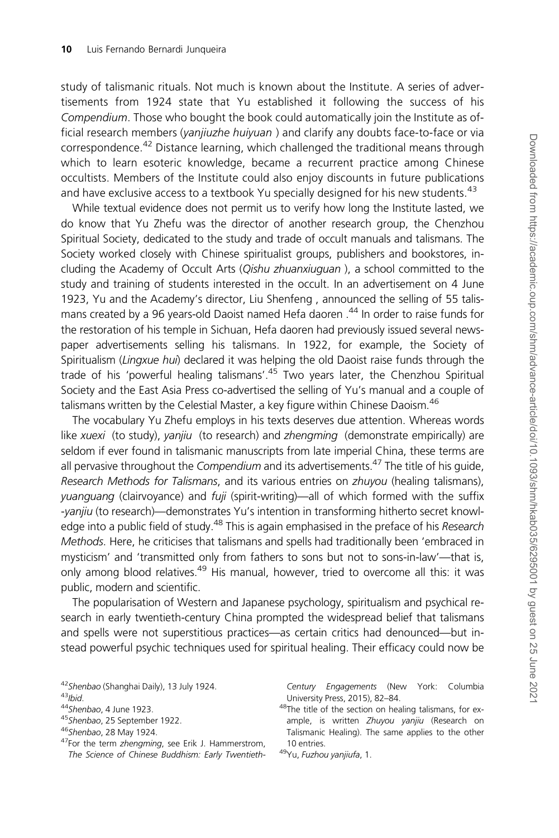study of talismanic rituals. Not much is known about the Institute. A series of advertisements from 1924 state that Yu established it following the success of his Compendium. Those who bought the book could automatically join the Institute as official research members (yanjiuzhe huiyuan) and clarify any doubts face-to-face or via correspondence.<sup>42</sup> Distance learning, which challenged the traditional means through which to learn esoteric knowledge, became a recurrent practice among Chinese occultists. Members of the Institute could also enjoy discounts in future publications and have exclusive access to a textbook Yu specially designed for his new students.<sup>43</sup>

While textual evidence does not permit us to verify how long the Institute lasted, we do know that Yu Zhefu was the director of another research group, the Chenzhou Spiritual Society, dedicated to the study and trade of occult manuals and talismans. The Society worked closely with Chinese spiritualist groups, publishers and bookstores, including the Academy of Occult Arts (*Qishu zhuanxiuguan*), a school committed to the study and training of students interested in the occult. In an advertisement on 4 June 1923, Yu and the Academy's director, Liu Shenfeng , announced the selling of 55 talismans created by a 96 years-old Daoist named Hefa daoren.<sup>44</sup> In order to raise funds for the restoration of his temple in Sichuan, Hefa daoren had previously issued several newspaper advertisements selling his talismans. In 1922, for example, the Society of Spiritualism (Lingxue hui) declared it was helping the old Daoist raise funds through the trade of his 'powerful healing talismans'.45 Two years later, the Chenzhou Spiritual Society and the East Asia Press co-advertised the selling of Yu's manual and a couple of talismans written by the Celestial Master, a key figure within Chinese Daoism.<sup>46</sup>

The vocabulary Yu Zhefu employs in his texts deserves due attention. Whereas words like xuexi (to study), yanjiu (to research) and zhengming (demonstrate empirically) are seldom if ever found in talismanic manuscripts from late imperial China, these terms are all pervasive throughout the Compendium and its advertisements.<sup>47</sup> The title of his quide, Research Methods for Talismans, and its various entries on zhuyou (healing talismans), yuanguang (clairvoyance) and fuji (spirit-writing)—all of which formed with the suffix -yanjiu (to research)—demonstrates Yu's intention in transforming hitherto secret knowledge into a public field of study.<sup>48</sup> This is again emphasised in the preface of his Research Methods. Here, he criticises that talismans and spells had traditionally been 'embraced in mysticism' and 'transmitted only from fathers to sons but not to sons-in-law'—that is, only among blood relatives.<sup>49</sup> His manual, however, tried to overcome all this: it was public, modern and scientific.

The popularisation of Western and Japanese psychology, spiritualism and psychical research in early twentieth-century China prompted the widespread belief that talismans and spells were not superstitious practices—as certain critics had denounced—but instead powerful psychic techniques used for spiritual healing. Their efficacy could now be

45 Shenbao, 25 September 1922.

<sup>47</sup>For the term zhengming, see Erik J. Hammerstrom, The Science of Chinese Buddhism: Early TwentiethCentury Engagements (New York: Columbia University Press, 2015), 82–84.

48The title of the section on healing talismans, for example, is written Zhuyou yanjiu (Research on Talismanic Healing). The same applies to the other 10 entries.

49Yu, Fuzhou yanjiufa, 1.

<sup>42</sup> Shenbao (Shanghai Daily), 13 July 1924.

 $43$ Ibid.

<sup>44</sup>Shenbao, 4 June 1923.

<sup>46</sup>Shenbao, 28 May 1924.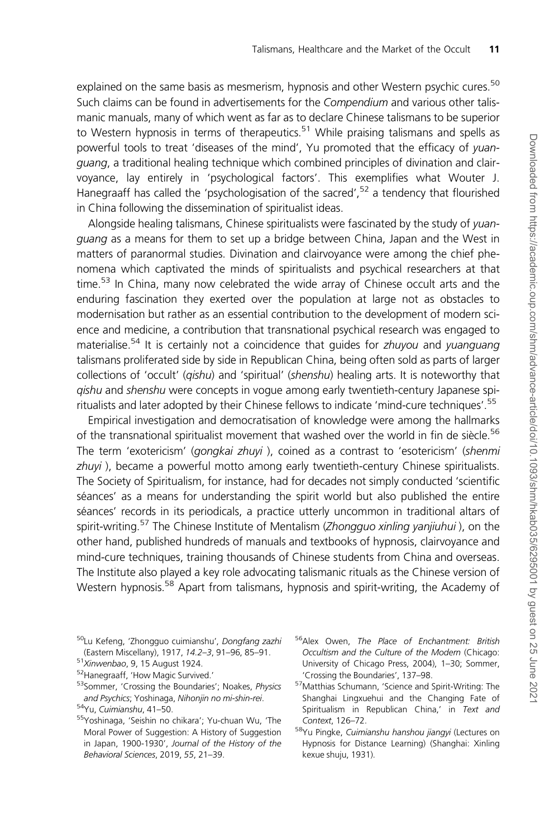explained on the same basis as mesmerism, hypnosis and other Western psychic cures.<sup>50</sup> Such claims can be found in advertisements for the Compendium and various other talismanic manuals, many of which went as far as to declare Chinese talismans to be superior to Western hypnosis in terms of therapeutics.<sup>51</sup> While praising talismans and spells as powerful tools to treat 'diseases of the mind', Yu promoted that the efficacy of yuanguang, a traditional healing technique which combined principles of divination and clairvoyance, lay entirely in 'psychological factors'. This exemplifies what Wouter J. Hanegraaff has called the 'psychologisation of the sacred',  $52$  a tendency that flourished in China following the dissemination of spiritualist ideas.

Alongside healing talismans, Chinese spiritualists were fascinated by the study of yuanguang as a means for them to set up a bridge between China, Japan and the West in matters of paranormal studies. Divination and clairvoyance were among the chief phenomena which captivated the minds of spiritualists and psychical researchers at that time.<sup>53</sup> In China, many now celebrated the wide array of Chinese occult arts and the enduring fascination they exerted over the population at large not as obstacles to modernisation but rather as an essential contribution to the development of modern science and medicine, a contribution that transnational psychical research was engaged to materialise.<sup>54</sup> It is certainly not a coincidence that guides for *zhuyou* and *yuanguang* talismans proliferated side by side in Republican China, being often sold as parts of larger collections of 'occult' (*qishu*) and 'spiritual' (*shenshu*) healing arts. It is noteworthy that qishu and shenshu were concepts in vogue among early twentieth-century Japanese spiritualists and later adopted by their Chinese fellows to indicate 'mind-cure techniques'.<sup>55</sup>

Empirical investigation and democratisation of knowledge were among the hallmarks of the transnational spiritualist movement that washed over the world in fin de siècle.<sup>56</sup> The term 'exotericism' (gongkai zhuyi), coined as a contrast to 'esotericism' (shenmi zhuyi), became a powerful motto among early twentieth-century Chinese spiritualists. The Society of Spiritualism, for instance, had for decades not simply conducted 'scientific séances' as a means for understanding the spirit world but also published the entire séances' records in its periodicals, a practice utterly uncommon in traditional altars of spirit-writing.<sup>57</sup> The Chinese Institute of Mentalism (Zhongguo xinling yanjiuhui), on the other hand, published hundreds of manuals and textbooks of hypnosis, clairvoyance and mind-cure techniques, training thousands of Chinese students from China and overseas. The Institute also played a key role advocating talismanic rituals as the Chinese version of Western hypnosis.<sup>58</sup> Apart from talismans, hypnosis and spirit-writing, the Academy of

- <sup>50</sup>Lu Kefeng, 'Zhongguo cuimianshu', Dongfang zazhi (Eastern Miscellany), 1917, 14.2–3, 91–96, 85–91.
- <sup>51</sup>Xinwenbao, 9, 15 August 1924.
- 52Hanegraaff, 'How Magic Survived.'
- 53Sommer, 'Crossing the Boundaries'; Noakes, Physics and Psychics; Yoshinaga, Nihonjin no mi-shin-rei.
- 54Yu, Cuimianshu, 41–50.
- 55Yoshinaga, 'Seishin no chikara'; Yu-chuan Wu, 'The Moral Power of Suggestion: A History of Suggestion in Japan, 1900-1930', Journal of the History of the Behavioral Sciences, 2019, 55, 21–39.
- <sup>56</sup>Alex Owen, The Place of Enchantment: British Occultism and the Culture of the Modern (Chicago: University of Chicago Press, 2004), 1–30; Sommer, 'Crossing the Boundaries', 137–98.
- 57Matthias Schumann, 'Science and Spirit-Writing: The Shanghai Lingxuehui and the Changing Fate of Spiritualism in Republican China,' in Text and Context, 126–72.
- 58Yu Pingke, Cuimianshu hanshou jiangyi (Lectures on Hypnosis for Distance Learning) (Shanghai: Xinling kexue shuju, 1931).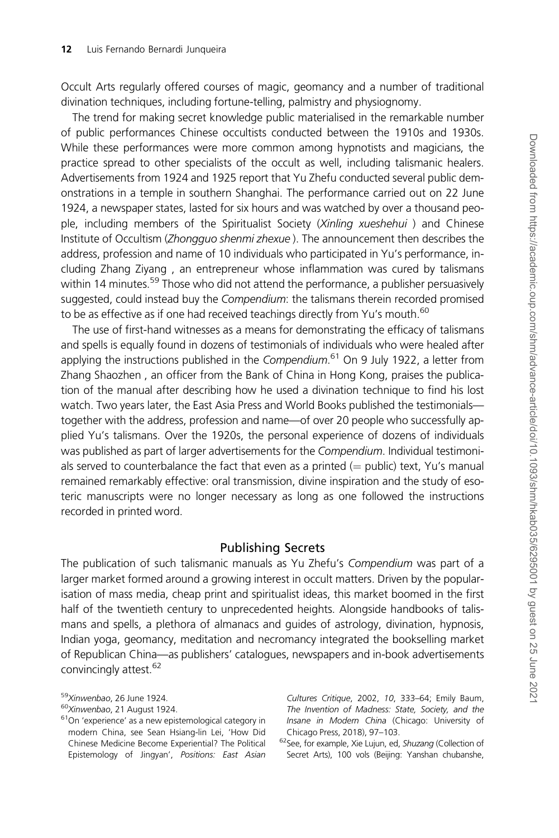Occult Arts regularly offered courses of magic, geomancy and a number of traditional divination techniques, including fortune-telling, palmistry and physiognomy.

The trend for making secret knowledge public materialised in the remarkable number of public performances Chinese occultists conducted between the 1910s and 1930s. While these performances were more common among hypnotists and magicians, the practice spread to other specialists of the occult as well, including talismanic healers. Advertisements from 1924 and 1925 report that Yu Zhefu conducted several public demonstrations in a temple in southern Shanghai. The performance carried out on 22 June 1924, a newspaper states, lasted for six hours and was watched by over a thousand people, including members of the Spiritualist Society (Xinling xueshehui) and Chinese Institute of Occultism (Zhongguo shenmi zhexue ). The announcement then describes the address, profession and name of 10 individuals who participated in Yu's performance, including Zhang Ziyang , an entrepreneur whose inflammation was cured by talismans within 14 minutes.<sup>59</sup> Those who did not attend the performance, a publisher persuasively suggested, could instead buy the Compendium: the talismans therein recorded promised to be as effective as if one had received teachings directly from Yu's mouth.<sup>60</sup>

The use of first-hand witnesses as a means for demonstrating the efficacy of talismans and spells is equally found in dozens of testimonials of individuals who were healed after applying the instructions published in the Compendium.<sup>61</sup> On 9 July 1922, a letter from Zhang Shaozhen , an officer from the Bank of China in Hong Kong, praises the publication of the manual after describing how he used a divination technique to find his lost watch. Two years later, the East Asia Press and World Books published the testimonials together with the address, profession and name—of over 20 people who successfully applied Yu's talismans. Over the 1920s, the personal experience of dozens of individuals was published as part of larger advertisements for the Compendium. Individual testimonials served to counterbalance the fact that even as a printed  $(=$  public) text, Yu's manual remained remarkably effective: oral transmission, divine inspiration and the study of esoteric manuscripts were no longer necessary as long as one followed the instructions recorded in printed word.

## Publishing Secrets

The publication of such talismanic manuals as Yu Zhefu's Compendium was part of a larger market formed around a growing interest in occult matters. Driven by the popularisation of mass media, cheap print and spiritualist ideas, this market boomed in the first half of the twentieth century to unprecedented heights. Alongside handbooks of talismans and spells, a plethora of almanacs and guides of astrology, divination, hypnosis, Indian yoga, geomancy, meditation and necromancy integrated the bookselling market of Republican China—as publishers' catalogues, newspapers and in-book advertisements convincingly attest.<sup>62</sup>

Cultures Critique, 2002, 10, 333–64; Emily Baum, The Invention of Madness: State, Society, and the Insane in Modern China (Chicago: University of Chicago Press, 2018), 97–103.

62See, for example, Xie Lujun, ed, Shuzang (Collection of Secret Arts), 100 vols (Beijing: Yanshan chubanshe,

<sup>59</sup>Xinwenbao, 26 June 1924.

<sup>60</sup>Xinwenbao, 21 August 1924.

<sup>61</sup>On 'experience' as a new epistemological category in modern China, see Sean Hsiang-lin Lei, 'How Did Chinese Medicine Become Experiential? The Political Epistemology of Jingyan', Positions: East Asian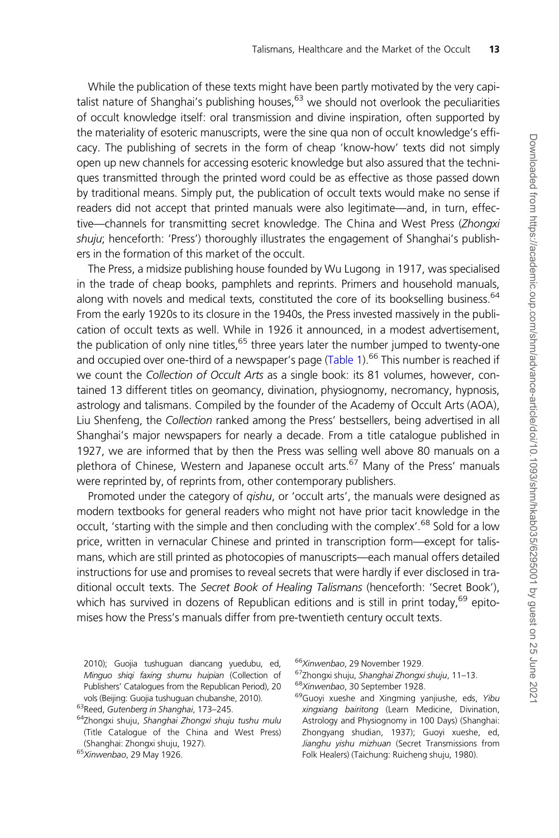While the publication of these texts might have been partly motivated by the very capitalist nature of Shanghai's publishing houses,  $63$  we should not overlook the peculiarities of occult knowledge itself: oral transmission and divine inspiration, often supported by the materiality of esoteric manuscripts, were the sine qua non of occult knowledge's efficacy. The publishing of secrets in the form of cheap 'know-how' texts did not simply open up new channels for accessing esoteric knowledge but also assured that the techniques transmitted through the printed word could be as effective as those passed down by traditional means. Simply put, the publication of occult texts would make no sense if readers did not accept that printed manuals were also legitimate—and, in turn, effective—channels for transmitting secret knowledge. The China and West Press (Zhongxi shuju; henceforth: 'Press') thoroughly illustrates the engagement of Shanghai's publishers in the formation of this market of the occult.

The Press, a midsize publishing house founded by Wu Lugong in 1917, was specialised in the trade of cheap books, pamphlets and reprints. Primers and household manuals, along with novels and medical texts, constituted the core of its bookselling business.<sup>64</sup> From the early 1920s to its closure in the 1940s, the Press invested massively in the publication of occult texts as well. While in 1926 it announced, in a modest advertisement, the publication of only nine titles,  $65$  three years later the number jumped to twenty-one and occupied over one-third of a newspaper's page ([Table 1](#page-13-0)).<sup>66</sup> This number is reached if we count the Collection of Occult Arts as a single book: its 81 volumes, however, contained 13 different titles on geomancy, divination, physiognomy, necromancy, hypnosis, astrology and talismans. Compiled by the founder of the Academy of Occult Arts (AOA), Liu Shenfeng, the Collection ranked among the Press' bestsellers, being advertised in all Shanghai's major newspapers for nearly a decade. From a title catalogue published in 1927, we are informed that by then the Press was selling well above 80 manuals on a plethora of Chinese, Western and Japanese occult arts.<sup>67</sup> Many of the Press' manuals were reprinted by, of reprints from, other contemporary publishers.

Promoted under the category of *gishu*, or 'occult arts', the manuals were designed as modern textbooks for general readers who might not have prior tacit knowledge in the occult, 'starting with the simple and then concluding with the complex'.<sup>68</sup> Sold for a low price, written in vernacular Chinese and printed in transcription form—except for talismans, which are still printed as photocopies of manuscripts—each manual offers detailed instructions for use and promises to reveal secrets that were hardly if ever disclosed in traditional occult texts. The Secret Book of Healing Talismans (henceforth: 'Secret Book'), which has survived in dozens of Republican editions and is still in print today, $^{69}$  epitomises how the Press's manuals differ from pre-twentieth century occult texts.

2010); Guojia tushuguan diancang yuedubu, ed, Minguo shiqi faxing shumu huipian (Collection of Publishers' Catalogues from the Republican Period), 20 vols (Beijing: Guojia tushuguan chubanshe, 2010).

<sup>63</sup>Reed, Gutenberg in Shanghai, 173–245.

<sup>&</sup>lt;sup>64</sup>Zhongxi shuju, Shanghai Zhongxi shuju tushu mulu (Title Catalogue of the China and West Press) (Shanghai: Zhongxi shuju, 1927).

<sup>&</sup>lt;sup>65</sup>Xinwenbao, 29 May 1926.

<sup>66</sup>Xinwenbao, 29 November 1929.

<sup>67</sup>Zhongxi shuju, Shanghai Zhongxi shuju, 11-13. <sup>68</sup>Xinwenbao, 30 September 1928.

<sup>&</sup>lt;sup>69</sup>Guoyi xueshe and Xingming yanjiushe, eds, Yibu xingxiang bairitong (Learn Medicine, Divination, Astrology and Physiognomy in 100 Days) (Shanghai: Zhongyang shudian, 1937); Guoyi xueshe, ed, Jianghu yishu mizhuan (Secret Transmissions from Folk Healers) (Taichung: Ruicheng shuju, 1980).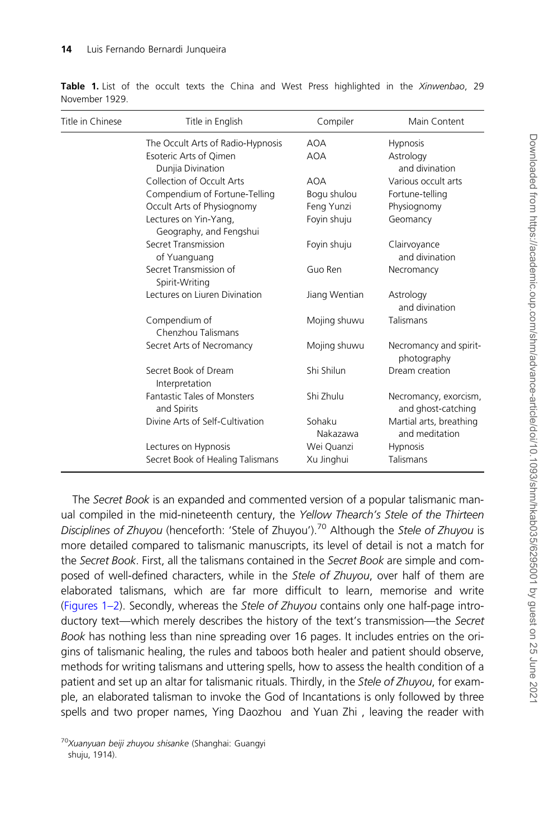| Title in Chinese | Title in English                                  | Compiler           | Main Content                                |
|------------------|---------------------------------------------------|--------------------|---------------------------------------------|
|                  | The Occult Arts of Radio-Hypnosis                 | AOA                | <b>Hypnosis</b>                             |
|                  | Esoteric Arts of Qimen<br>Dunjia Divination       | <b>AOA</b>         | Astrology<br>and divination                 |
|                  | Collection of Occult Arts                         | <b>AOA</b>         | Various occult arts                         |
|                  | Compendium of Fortune-Telling                     | Bogu shulou        | Fortune-telling                             |
|                  | Occult Arts of Physiognomy                        | Feng Yunzi         | Physiognomy                                 |
|                  | Lectures on Yin-Yang,<br>Geography, and Fengshui  | Foyin shuju        | Geomancy                                    |
|                  | Secret Transmission<br>of Yuanguang               | Foyin shuju        | Clairvoyance<br>and divination              |
|                  | Secret Transmission of<br>Spirit-Writing          | Guo Ren            | Necromancy                                  |
|                  | Lectures on Liuren Divination                     | Jiang Wentian      | Astrology<br>and divination                 |
|                  | Compendium of<br>Chenzhou Talismans               | Mojing shuwu       | Talismans                                   |
|                  | Secret Arts of Necromancy                         | Mojing shuwu       | Necromancy and spirit-<br>photography       |
|                  | Secret Book of Dream<br>Interpretation            | Shi Shilun         | Dream creation                              |
|                  | <b>Fantastic Tales of Monsters</b><br>and Spirits | Shi Zhulu          | Necromancy, exorcism,<br>and ghost-catching |
|                  | Divine Arts of Self-Cultivation                   | Sohaku<br>Nakazawa | Martial arts, breathing<br>and meditation   |
|                  | Lectures on Hypnosis                              | Wei Quanzi         | <b>Hypnosis</b>                             |
|                  | Secret Book of Healing Talismans                  | Xu Jinghui         | Talismans                                   |

<span id="page-13-0"></span>Table 1. List of the occult texts the China and West Press highlighted in the Xinwenbao, 29 November 1929.

The Secret Book is an expanded and commented version of a popular talismanic manual compiled in the mid-nineteenth century, the Yellow Thearch's Stele of the Thirteen Disciplines of Zhuyou (henceforth: 'Stele of Zhuyou').<sup>70</sup> Although the Stele of Zhuyou is more detailed compared to talismanic manuscripts, its level of detail is not a match for the Secret Book. First, all the talismans contained in the Secret Book are simple and composed of well-defined characters, while in the Stele of Zhuyou, over half of them are elaborated talismans, which are far more difficult to learn, memorise and write ([Figures 1–2\)](#page-7-0). Secondly, whereas the Stele of Zhuyou contains only one half-page introductory text—which merely describes the history of the text's transmission—the Secret Book has nothing less than nine spreading over 16 pages. It includes entries on the origins of talismanic healing, the rules and taboos both healer and patient should observe, methods for writing talismans and uttering spells, how to assess the health condition of a patient and set up an altar for talismanic rituals. Thirdly, in the Stele of Zhuyou, for example, an elaborated talisman to invoke the God of Incantations is only followed by three spells and two proper names, Ying Daozhou and Yuan Zhi , leaving the reader with

<sup>&</sup>lt;sup>70</sup>Xuanyuan beiji zhuyou shisanke (Shanghai: Guangyi shuju, 1914).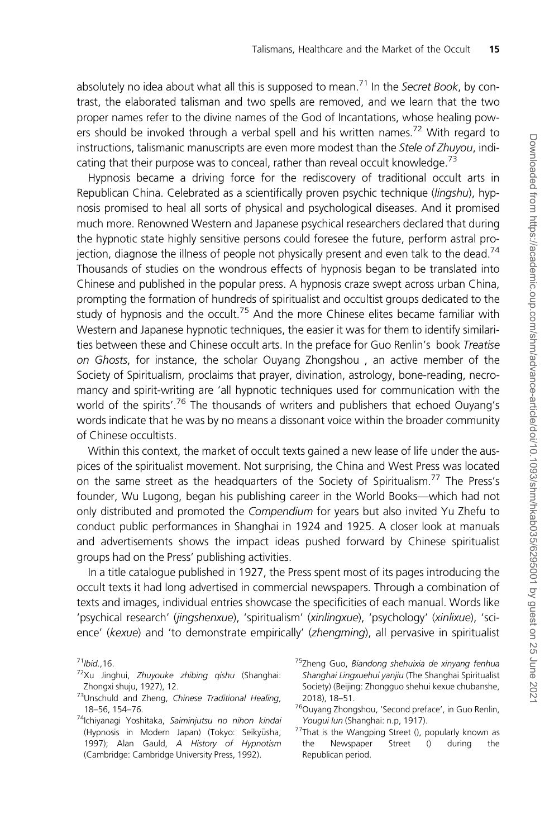absolutely no idea about what all this is supposed to mean.<sup>71</sup> In the Secret Book, by contrast, the elaborated talisman and two spells are removed, and we learn that the two proper names refer to the divine names of the God of Incantations, whose healing powers should be invoked through a verbal spell and his written names.<sup>72</sup> With regard to instructions, talismanic manuscripts are even more modest than the Stele of Zhuyou, indicating that their purpose was to conceal, rather than reveal occult knowledge.<sup>73</sup>

Hypnosis became a driving force for the rediscovery of traditional occult arts in Republican China. Celebrated as a scientifically proven psychic technique (lingshu), hypnosis promised to heal all sorts of physical and psychological diseases. And it promised much more. Renowned Western and Japanese psychical researchers declared that during the hypnotic state highly sensitive persons could foresee the future, perform astral projection, diagnose the illness of people not physically present and even talk to the dead.<sup>74</sup> Thousands of studies on the wondrous effects of hypnosis began to be translated into Chinese and published in the popular press. A hypnosis craze swept across urban China, prompting the formation of hundreds of spiritualist and occultist groups dedicated to the study of hypnosis and the occult.<sup>75</sup> And the more Chinese elites became familiar with Western and Japanese hypnotic techniques, the easier it was for them to identify similarities between these and Chinese occult arts. In the preface for Guo Renlin's book Treatise on Ghosts, for instance, the scholar Ouyang Zhongshou , an active member of the Society of Spiritualism, proclaims that prayer, divination, astrology, bone-reading, necromancy and spirit-writing are 'all hypnotic techniques used for communication with the world of the spirits'.<sup>76</sup> The thousands of writers and publishers that echoed Ouyang's words indicate that he was by no means a dissonant voice within the broader community of Chinese occultists.

Within this context, the market of occult texts gained a new lease of life under the auspices of the spiritualist movement. Not surprising, the China and West Press was located on the same street as the headquarters of the Society of Spiritualism.<sup>77</sup> The Press's founder, Wu Lugong, began his publishing career in the World Books—which had not only distributed and promoted the Compendium for years but also invited Yu Zhefu to conduct public performances in Shanghai in 1924 and 1925. A closer look at manuals and advertisements shows the impact ideas pushed forward by Chinese spiritualist groups had on the Press' publishing activities.

In a title catalogue published in 1927, the Press spent most of its pages introducing the occult texts it had long advertised in commercial newspapers. Through a combination of texts and images, individual entries showcase the specificities of each manual. Words like 'psychical research' (jingshenxue), 'spiritualism' (xinlingxue), 'psychology' (xinlixue), 'science' (kexue) and 'to demonstrate empirically' (zhengming), all pervasive in spiritualist

- 72Xu Jinghui, Zhuyouke zhibing qishu (Shanghai: Zhongxi shuju, 1927), 12.
- 73Unschuld and Zheng, Chinese Traditional Healing, 18–56, 154–76.
- 76Ouyang Zhongshou, 'Second preface', in Guo Renlin, Yougui lun (Shanghai: n.p, 1917).
- 77That is the Wangping Street (), popularly known as the Newspaper Street () during the Republican period.

 $71$ Ibid., 16.

<sup>74</sup>Ichiyanagi Yoshitaka, Saiminjutsu no nihon kindai (Hypnosis in Modern Japan) (Tokyo: Seikyūsha, 1997); Alan Gauld, A History of Hypnotism (Cambridge: Cambridge University Press, 1992).

<sup>&</sup>lt;sup>75</sup>Zheng Guo, Biandong shehuixia de xinyang fenhua Shanghai Lingxuehui yanjiu (The Shanghai Spiritualist Society) (Beijing: Zhongguo shehui kexue chubanshe, 2018), 18–51.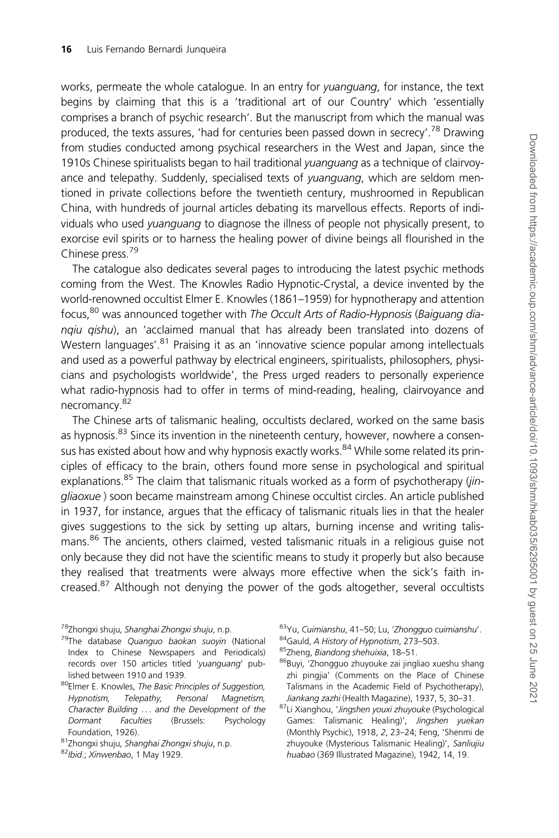works, permeate the whole catalogue. In an entry for yuanguang, for instance, the text begins by claiming that this is a 'traditional art of our Country' which 'essentially comprises a branch of psychic research'. But the manuscript from which the manual was produced, the texts assures, 'had for centuries been passed down in secrecy'.<sup>78</sup> Drawing from studies conducted among psychical researchers in the West and Japan, since the 1910s Chinese spiritualists began to hail traditional *yuanguang* as a technique of clairvoyance and telepathy. Suddenly, specialised texts of yuanguang, which are seldom mentioned in private collections before the twentieth century, mushroomed in Republican China, with hundreds of journal articles debating its marvellous effects. Reports of individuals who used yuanguang to diagnose the illness of people not physically present, to exorcise evil spirits or to harness the healing power of divine beings all flourished in the Chinese press.79

The catalogue also dedicates several pages to introducing the latest psychic methods coming from the West. The Knowles Radio Hypnotic-Crystal, a device invented by the world-renowned occultist Elmer E. Knowles (1861–1959) for hypnotherapy and attention focus,<sup>80</sup> was announced together with The Occult Arts of Radio-Hypnosis (Baiguang dianqiu qishu), an 'acclaimed manual that has already been translated into dozens of Western languages'.<sup>81</sup> Praising it as an 'innovative science popular among intellectuals and used as a powerful pathway by electrical engineers, spiritualists, philosophers, physicians and psychologists worldwide', the Press urged readers to personally experience what radio-hypnosis had to offer in terms of mind-reading, healing, clairvoyance and necromancy.82

The Chinese arts of talismanic healing, occultists declared, worked on the same basis as hypnosis.<sup>83</sup> Since its invention in the nineteenth century, however, nowhere a consensus has existed about how and why hypnosis exactly works.<sup>84</sup> While some related its principles of efficacy to the brain, others found more sense in psychological and spiritual explanations.<sup>85</sup> The claim that talismanic rituals worked as a form of psychotherapy (*jin*gliaoxue ) soon became mainstream among Chinese occultist circles. An article published in 1937, for instance, argues that the efficacy of talismanic rituals lies in that the healer gives suggestions to the sick by setting up altars, burning incense and writing talismans.<sup>86</sup> The ancients, others claimed, vested talismanic rituals in a religious guise not only because they did not have the scientific means to study it properly but also because they realised that treatments were always more effective when the sick's faith increased.<sup>87</sup> Although not denying the power of the gods altogether, several occultists

- <sup>79</sup>The database Quanguo baokan suoyin (National Index to Chinese Newspapers and Periodicals) records over 150 articles titled 'yuanguang' published between 1910 and 1939.
- 80Elmer E. Knowles, The Basic Principles of Suggestion, Hypnotism, Telepathy, Personal Magnetism, Character Building ... and the Development of the Dormant Faculties (Brussels: Psychology Foundation, 1926).
- 81Zhongxi shuju, Shanghai Zhongxi shuju, n.p.
- 82Ibid.; Xinwenbao, 1 May 1929.

84<sub>Gauld</sub>, A History of Hypnotism, 273-503.

<sup>&</sup>lt;sup>78</sup>Zhongxi shuju, Shanghai Zhongxi shuju, n.p.

<sup>83</sup>Yu, Cuimianshu, 41–50; Lu, 'Zhongguo cuimianshu'.

<sup>85</sup>Zheng, Biandong shehuixia, 18-51.

<sup>86</sup>Buyi, 'Zhongguo zhuyouke zai jingliao xueshu shang zhi pingjia' (Comments on the Place of Chinese Talismans in the Academic Field of Psychotherapy), Jiankang zazhi (Health Magazine), 1937, 5, 30–31.

<sup>87</sup>Li Xianghou, 'Jingshen youxi zhuyouke (Psychological Games: Talismanic Healing)', Jingshen yuekan (Monthly Psychic), 1918, 2, 23–24; Feng, 'Shenmi de zhuyouke (Mysterious Talismanic Healing)', Sanliujiu huabao (369 Illustrated Magazine), 1942, 14, 19.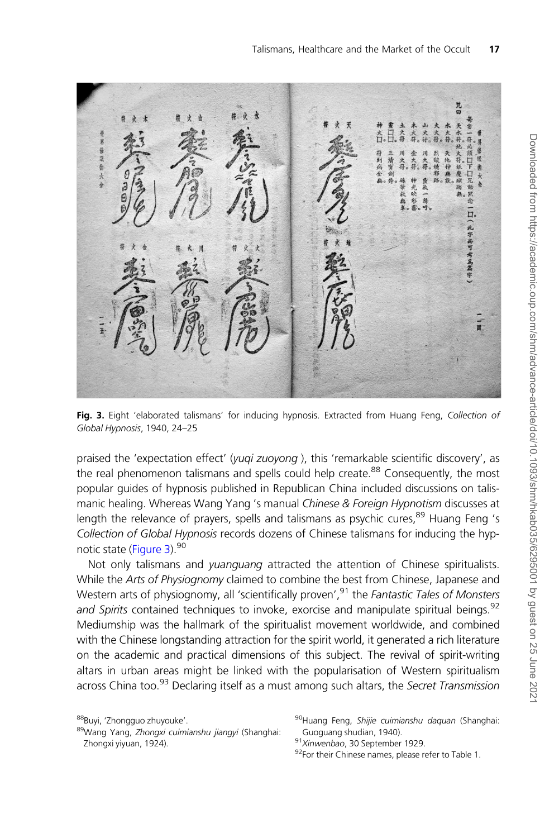大门 符到病金 烈欲燒邪 同型 一清寶劍 地科 H 大好 對大 口兄姊 ā, 一群 谿 ā. 一此字尚可考 网高高宇 w

Fig. 3. Eight 'elaborated talismans' for inducing hypnosis. Extracted from Huang Feng, Collection of Global Hypnosis, 1940, 24–25

praised the 'expectation effect' (yugi zuoyong), this 'remarkable scientific discovery', as the real phenomenon talismans and spells could help create.<sup>88</sup> Consequently, the most popular guides of hypnosis published in Republican China included discussions on talismanic healing. Whereas Wang Yang 's manual Chinese & Foreign Hypnotism discusses at length the relevance of prayers, spells and talismans as psychic cures,  $89$  Huang Feng 's Collection of Global Hypnosis records dozens of Chinese talismans for inducing the hypnotic state (Figure 3).<sup>90</sup>

Not only talismans and *yuanguang* attracted the attention of Chinese spiritualists. While the Arts of Physiognomy claimed to combine the best from Chinese, Japanese and Western arts of physiognomy, all 'scientifically proven',<sup>91</sup> the Fantastic Tales of Monsters and Spirits contained techniques to invoke, exorcise and manipulate spiritual beings.<sup>92</sup> Mediumship was the hallmark of the spiritualist movement worldwide, and combined with the Chinese longstanding attraction for the spirit world, it generated a rich literature on the academic and practical dimensions of this subject. The revival of spirit-writing altars in urban areas might be linked with the popularisation of Western spiritualism across China too.<sup>93</sup> Declaring itself as a must among such altars, the Secret Transmission

<sup>88</sup>Buyi, 'Zhongguo zhuyouke'.

<sup>89</sup>Wang Yang, Zhongxi cuimianshu jiangyi (Shanghai: Zhongxi yiyuan, 1924).

<sup>90</sup>Huang Feng, Shijie cuimianshu daquan (Shanghai: Guoguang shudian, 1940).

<sup>91</sup>Xinwenbao, 30 September 1929.

<sup>92</sup>For their Chinese names, please refer to Table 1.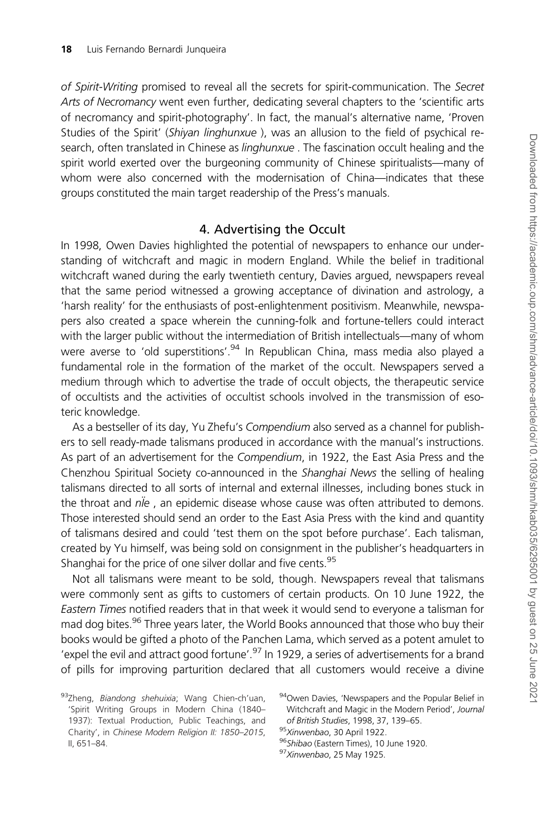of Spirit-Writing promised to reveal all the secrets for spirit-communication. The Secret Arts of Necromancy went even further, dedicating several chapters to the 'scientific arts of necromancy and spirit-photography'. In fact, the manual's alternative name, 'Proven Studies of the Spirit' (Shiyan linghunxue ), was an allusion to the field of psychical research, often translated in Chinese as *linghunxue*. The fascination occult healing and the spirit world exerted over the burgeoning community of Chinese spiritualists—many of whom were also concerned with the modernisation of China-indicates that these groups constituted the main target readership of the Press's manuals.

#### 4. Advertising the Occult

In 1998, Owen Davies highlighted the potential of newspapers to enhance our understanding of witchcraft and magic in modern England. While the belief in traditional witchcraft waned during the early twentieth century, Davies argued, newspapers reveal that the same period witnessed a growing acceptance of divination and astrology, a 'harsh reality' for the enthusiasts of post-enlightenment positivism. Meanwhile, newspapers also created a space wherein the cunning-folk and fortune-tellers could interact with the larger public without the intermediation of British intellectuals—many of whom were averse to 'old superstitions'.<sup>94</sup> In Republican China, mass media also played a fundamental role in the formation of the market of the occult. Newspapers served a medium through which to advertise the trade of occult objects, the therapeutic service of occultists and the activities of occultist schools involved in the transmission of esoteric knowledge.

As a bestseller of its day, Yu Zhefu's Compendium also served as a channel for publishers to sell ready-made talismans produced in accordance with the manual's instructions. As part of an advertisement for the Compendium, in 1922, the East Asia Press and the Chenzhou Spiritual Society co-announced in the Shanghai News the selling of healing talismans directed to all sorts of internal and external illnesses, including bones stuck in the throat and  $n\ddot{\textit{i}}e$ , an epidemic disease whose cause was often attributed to demons. Those interested should send an order to the East Asia Press with the kind and quantity of talismans desired and could 'test them on the spot before purchase'. Each talisman, created by Yu himself, was being sold on consignment in the publisher's headquarters in Shanghai for the price of one silver dollar and five cents.<sup>95</sup>

Not all talismans were meant to be sold, though. Newspapers reveal that talismans were commonly sent as gifts to customers of certain products. On 10 June 1922, the Eastern Times notified readers that in that week it would send to everyone a talisman for mad dog bites.<sup>96</sup> Three years later, the World Books announced that those who buy their books would be gifted a photo of the Panchen Lama, which served as a potent amulet to 'expel the evil and attract good fortune'.<sup>97</sup> In 1929, a series of advertisements for a brand of pills for improving parturition declared that all customers would receive a divine

<sup>93</sup>Zheng, Biandong shehuixia; Wang Chien-ch'uan, 'Spirit Writing Groups in Modern China (1840– 1937): Textual Production, Public Teachings, and Charity', in Chinese Modern Religion II: 1850–2015, II, 651–84.

<sup>94</sup> Owen Davies, 'Newspapers and the Popular Belief in Witchcraft and Magic in the Modern Period', Journal of British Studies, 1998, 37, 139–65.

<sup>95</sup>Xinwenbao, 30 April 1922.

<sup>96</sup>Shibao (Eastern Times), 10 June 1920.

<sup>97</sup>Xinwenbao, 25 May 1925.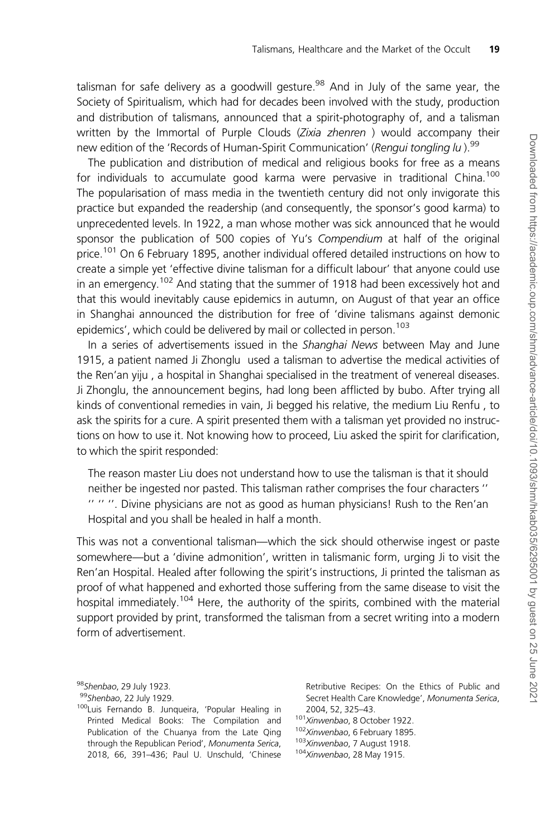talisman for safe delivery as a goodwill gesture.<sup>98</sup> And in July of the same year, the Society of Spiritualism, which had for decades been involved with the study, production and distribution of talismans, announced that a spirit-photography of, and a talisman written by the Immortal of Purple Clouds (Zixia zhenren) would accompany their new edition of the 'Records of Human-Spirit Communication' (Rengui tongling lu).<sup>99</sup>

The publication and distribution of medical and religious books for free as a means for individuals to accumulate good karma were pervasive in traditional China.<sup>100</sup> The popularisation of mass media in the twentieth century did not only invigorate this practice but expanded the readership (and consequently, the sponsor's good karma) to unprecedented levels. In 1922, a man whose mother was sick announced that he would sponsor the publication of 500 copies of Yu's Compendium at half of the original price.<sup>101</sup> On 6 February 1895, another individual offered detailed instructions on how to create a simple yet 'effective divine talisman for a difficult labour' that anyone could use in an emergency.<sup>102</sup> And stating that the summer of 1918 had been excessively hot and that this would inevitably cause epidemics in autumn, on August of that year an office in Shanghai announced the distribution for free of 'divine talismans against demonic epidemics', which could be delivered by mail or collected in person.<sup>103</sup>

In a series of advertisements issued in the Shanghai News between May and June 1915, a patient named Ji Zhonglu used a talisman to advertise the medical activities of the Ren'an yiju , a hospital in Shanghai specialised in the treatment of venereal diseases. Ji Zhonglu, the announcement begins, had long been afflicted by bubo. After trying all kinds of conventional remedies in vain, Ji begged his relative, the medium Liu Renfu , to ask the spirits for a cure. A spirit presented them with a talisman yet provided no instructions on how to use it. Not knowing how to proceed, Liu asked the spirit for clarification, to which the spirit responded:

The reason master Liu does not understand how to use the talisman is that it should neither be ingested nor pasted. This talisman rather comprises the four characters '' '' '' ''. Divine physicians are not as good as human physicians! Rush to the Ren'an Hospital and you shall be healed in half a month.

This was not a conventional talisman—which the sick should otherwise ingest or paste somewhere—but a 'divine admonition', written in talismanic form, urging Ji to visit the Ren'an Hospital. Healed after following the spirit's instructions, Ji printed the talisman as proof of what happened and exhorted those suffering from the same disease to visit the hospital immediately.<sup>104</sup> Here, the authority of the spirits, combined with the material support provided by print, transformed the talisman from a secret writing into a modern form of advertisement.

Retributive Recipes: On the Ethics of Public and Secret Health Care Knowledge', Monumenta Serica, 2004, 52, 325–43.

- <sup>101</sup>Xinwenbao, 8 October 1922.
- 102Xinwenbao, 6 February 1895.
- <sup>103</sup>Xinwenbao, 7 August 1918.
- 104Xinwenbao, 28 May 1915.

<sup>98</sup>Shenbao, 29 July 1923.

<sup>99</sup>Shenbao, 22 July 1929.

<sup>100</sup>Luis Fernando B. Junqueira, 'Popular Healing in Printed Medical Books: The Compilation and Publication of the Chuanya from the Late Qing through the Republican Period', Monumenta Serica, 2018, 66, 391–436; Paul U. Unschuld, 'Chinese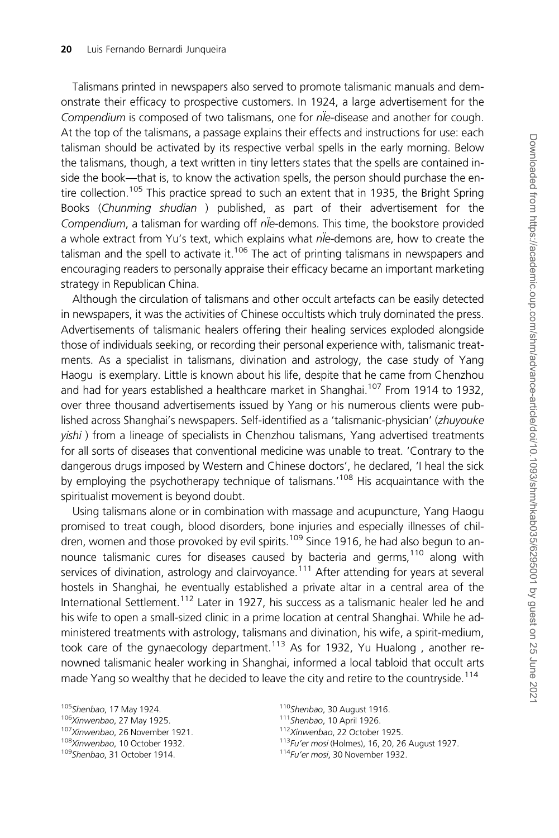Talismans printed in newspapers also served to promote talismanic manuals and demonstrate their efficacy to prospective customers. In 1924, a large advertisement for the Compendium is composed of two talismans, one for nie-disease and another for cough. At the top of the talismans, a passage explains their effects and instructions for use: each talisman should be activated by its respective verbal spells in the early morning. Below the talismans, though, a text written in tiny letters states that the spells are contained inside the book—that is, to know the activation spells, the person should purchase the entire collection.<sup>105</sup> This practice spread to such an extent that in 1935, the Bright Spring Books (Chunming shudian ) published, as part of their advertisement for the Compendium, a talisman for warding off n<sup>ie</sup>-demons. This time, the bookstore provided a whole extract from Yu's text, which explains what nle-demons are, how to create the talisman and the spell to activate it.<sup>106</sup> The act of printing talismans in newspapers and encouraging readers to personally appraise their efficacy became an important marketing strategy in Republican China.

Although the circulation of talismans and other occult artefacts can be easily detected in newspapers, it was the activities of Chinese occultists which truly dominated the press. Advertisements of talismanic healers offering their healing services exploded alongside those of individuals seeking, or recording their personal experience with, talismanic treatments. As a specialist in talismans, divination and astrology, the case study of Yang Haogu is exemplary. Little is known about his life, despite that he came from Chenzhou and had for years established a healthcare market in Shanghai.<sup>107</sup> From 1914 to 1932, over three thousand advertisements issued by Yang or his numerous clients were published across Shanghai's newspapers. Self-identified as a 'talismanic-physician' (zhuyouke yishi ) from a lineage of specialists in Chenzhou talismans, Yang advertised treatments for all sorts of diseases that conventional medicine was unable to treat. 'Contrary to the dangerous drugs imposed by Western and Chinese doctors', he declared, 'I heal the sick by employing the psychotherapy technique of talismans.<sup>'108</sup> His acquaintance with the spiritualist movement is beyond doubt.

Using talismans alone or in combination with massage and acupuncture, Yang Haogu promised to treat cough, blood disorders, bone injuries and especially illnesses of children, women and those provoked by evil spirits.<sup>109</sup> Since 1916, he had also begun to announce talismanic cures for diseases caused by bacteria and germs,<sup>110</sup> along with services of divination, astrology and clairvoyance.<sup>111</sup> After attending for years at several hostels in Shanghai, he eventually established a private altar in a central area of the International Settlement.<sup>112</sup> Later in 1927, his success as a talismanic healer led he and his wife to open a small-sized clinic in a prime location at central Shanghai. While he administered treatments with astrology, talismans and divination, his wife, a spirit-medium, took care of the gynaecology department.<sup>113</sup> As for 1932, Yu Hualong, another renowned talismanic healer working in Shanghai, informed a local tabloid that occult arts made Yang so wealthy that he decided to leave the city and retire to the countryside.<sup>114</sup>

<sup>110</sup>Shenbao, 30 August 1916.

<sup>105</sup>Shenbao, 17 May 1924.

<sup>106</sup>Xinwenbao, 27 May 1925.

<sup>107</sup>Xinwenbao, 26 November 1921.

<sup>108</sup>Xinwenbao, 10 October 1932.

<sup>109</sup>Shenbao, 31 October 1914.

<sup>111</sup>Shenbao, 10 April 1926.

<sup>112</sup>Xinwenbao, 22 October 1925.

<sup>113</sup>Fu'er mosi (Holmes), 16, 20, 26 August 1927.

<sup>114</sup>Fu'er mosi, 30 November 1932.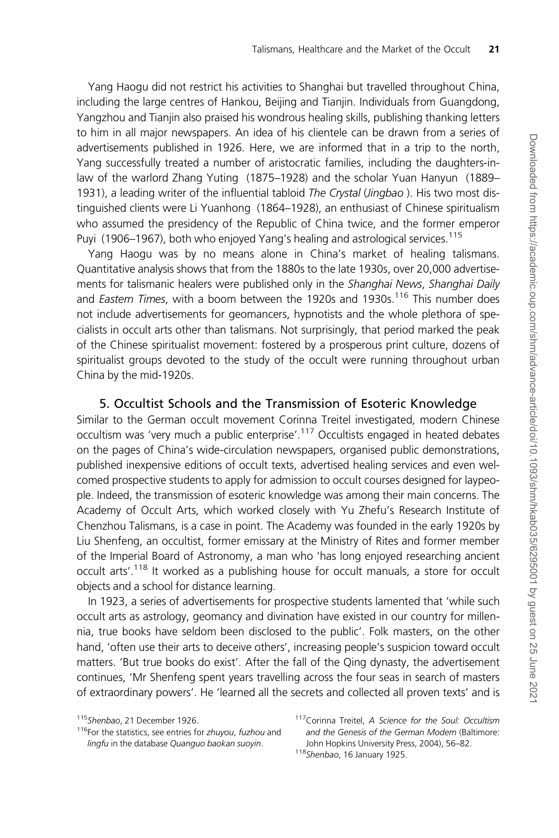Yang Haogu did not restrict his activities to Shanghai but travelled throughout China, including the large centres of Hankou, Beijing and Tianjin. Individuals from Guangdong, Yangzhou and Tianjin also praised his wondrous healing skills, publishing thanking letters to him in all major newspapers. An idea of his clientele can be drawn from a series of advertisements published in 1926. Here, we are informed that in a trip to the north, Yang successfully treated a number of aristocratic families, including the daughters-inlaw of the warlord Zhang Yuting (1875–1928) and the scholar Yuan Hanyun (1889– 1931), a leading writer of the influential tabloid The Crystal (Jingbao). His two most distinguished clients were Li Yuanhong (1864–1928), an enthusiast of Chinese spiritualism who assumed the presidency of the Republic of China twice, and the former emperor Puyi (1906–1967), both who enjoyed Yang's healing and astrological services.<sup>115</sup>

Yang Haogu was by no means alone in China's market of healing talismans. Quantitative analysis shows that from the 1880s to the late 1930s, over 20,000 advertisements for talismanic healers were published only in the Shanghai News, Shanghai Daily and *Eastern Times*, with a boom between the 1920s and 1930s.<sup>116</sup> This number does not include advertisements for geomancers, hypnotists and the whole plethora of specialists in occult arts other than talismans. Not surprisingly, that period marked the peak of the Chinese spiritualist movement: fostered by a prosperous print culture, dozens of spiritualist groups devoted to the study of the occult were running throughout urban China by the mid-1920s.

#### 5. Occultist Schools and the Transmission of Esoteric Knowledge

Similar to the German occult movement Corinna Treitel investigated, modern Chinese occultism was 'very much a public enterprise'.<sup>117</sup> Occultists engaged in heated debates on the pages of China's wide-circulation newspapers, organised public demonstrations, published inexpensive editions of occult texts, advertised healing services and even welcomed prospective students to apply for admission to occult courses designed for laypeople. Indeed, the transmission of esoteric knowledge was among their main concerns. The Academy of Occult Arts, which worked closely with Yu Zhefu's Research Institute of Chenzhou Talismans, is a case in point. The Academy was founded in the early 1920s by Liu Shenfeng, an occultist, former emissary at the Ministry of Rites and former member of the Imperial Board of Astronomy, a man who 'has long enjoyed researching ancient occult arts'.<sup>118</sup> It worked as a publishing house for occult manuals, a store for occult objects and a school for distance learning.

In 1923, a series of advertisements for prospective students lamented that 'while such occult arts as astrology, geomancy and divination have existed in our country for millennia, true books have seldom been disclosed to the public'. Folk masters, on the other hand, 'often use their arts to deceive others', increasing people's suspicion toward occult matters. 'But true books do exist'. After the fall of the Qing dynasty, the advertisement continues, 'Mr Shenfeng spent years travelling across the four seas in search of masters of extraordinary powers'. He 'learned all the secrets and collected all proven texts' and is

<sup>115</sup> Shenbao, 21 December 1926.

<sup>&</sup>lt;sup>116</sup>For the statistics, see entries for zhuyou, fuzhou and lingfu in the database Quanguo baokan suoyin.

<sup>117</sup> Corinna Treitel, A Science for the Soul: Occultism and the Genesis of the German Modern (Baltimore: John Hopkins University Press, 2004), 56–82.

<sup>118</sup>Shenbao, 16 January 1925.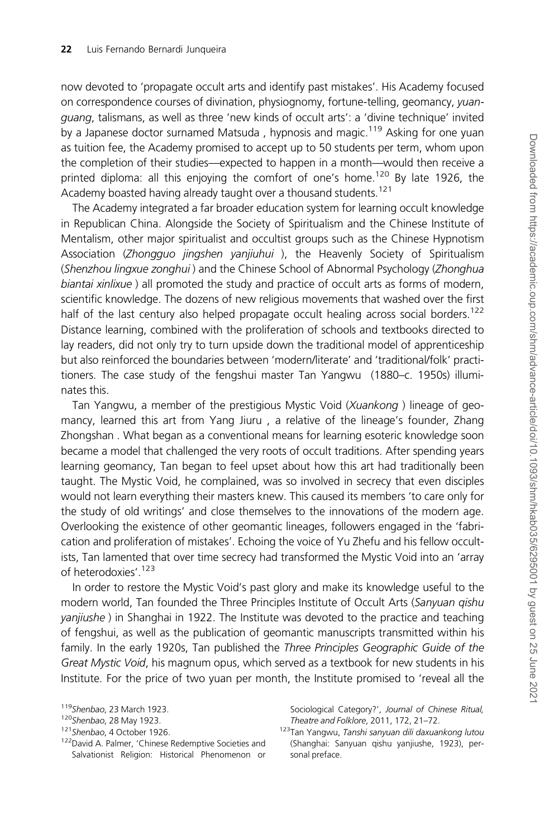now devoted to 'propagate occult arts and identify past mistakes'. His Academy focused on correspondence courses of divination, physiognomy, fortune-telling, geomancy, yuanguang, talismans, as well as three 'new kinds of occult arts': a 'divine technique' invited by a Japanese doctor surnamed Matsuda, hypnosis and magic.<sup>119</sup> Asking for one yuan as tuition fee, the Academy promised to accept up to 50 students per term, whom upon the completion of their studies—expected to happen in a month—would then receive a printed diploma: all this enjoying the comfort of one's home.<sup>120</sup> By late 1926, the Academy boasted having already taught over a thousand students.<sup>121</sup>

The Academy integrated a far broader education system for learning occult knowledge in Republican China. Alongside the Society of Spiritualism and the Chinese Institute of Mentalism, other major spiritualist and occultist groups such as the Chinese Hypnotism Association (Zhongguo jingshen yanjiuhui ), the Heavenly Society of Spiritualism (Shenzhou lingxue zonghui ) and the Chinese School of Abnormal Psychology (Zhonghua biantai xinlixue ) all promoted the study and practice of occult arts as forms of modern, scientific knowledge. The dozens of new religious movements that washed over the first half of the last century also helped propagate occult healing across social borders.<sup>122</sup> Distance learning, combined with the proliferation of schools and textbooks directed to lay readers, did not only try to turn upside down the traditional model of apprenticeship but also reinforced the boundaries between 'modern/literate' and 'traditional/folk' practitioners. The case study of the fengshui master Tan Yangwu (1880–c. 1950s) illuminates this.

Tan Yangwu, a member of the prestigious Mystic Void (Xuankong ) lineage of geomancy, learned this art from Yang Jiuru , a relative of the lineage's founder, Zhang Zhongshan . What began as a conventional means for learning esoteric knowledge soon became a model that challenged the very roots of occult traditions. After spending years learning geomancy, Tan began to feel upset about how this art had traditionally been taught. The Mystic Void, he complained, was so involved in secrecy that even disciples would not learn everything their masters knew. This caused its members 'to care only for the study of old writings' and close themselves to the innovations of the modern age. Overlooking the existence of other geomantic lineages, followers engaged in the 'fabrication and proliferation of mistakes'. Echoing the voice of Yu Zhefu and his fellow occultists, Tan lamented that over time secrecy had transformed the Mystic Void into an 'array of heterodoxies'.<sup>123</sup>

In order to restore the Mystic Void's past glory and make its knowledge useful to the modern world, Tan founded the Three Principles Institute of Occult Arts (Sanyuan qishu yanjiushe ) in Shanghai in 1922. The Institute was devoted to the practice and teaching of fengshui, as well as the publication of geomantic manuscripts transmitted within his family. In the early 1920s, Tan published the Three Principles Geographic Guide of the Great Mystic Void, his magnum opus, which served as a textbook for new students in his Institute. For the price of two yuan per month, the Institute promised to 'reveal all the

<sup>119</sup>Shenbao, 23 March 1923.

<sup>120</sup>Shenbao, 28 May 1923.

<sup>121</sup> Shenbao, 4 October 1926.

<sup>122</sup>David A. Palmer, 'Chinese Redemptive Societies and Salvationist Religion: Historical Phenomenon or

Sociological Category?', Journal of Chinese Ritual, Theatre and Folklore, 2011, 172, 21–72.

<sup>123</sup>Tan Yangwu, Tanshi sanyuan dili daxuankong lutou (Shanghai: Sanyuan qishu yanjiushe, 1923), personal preface.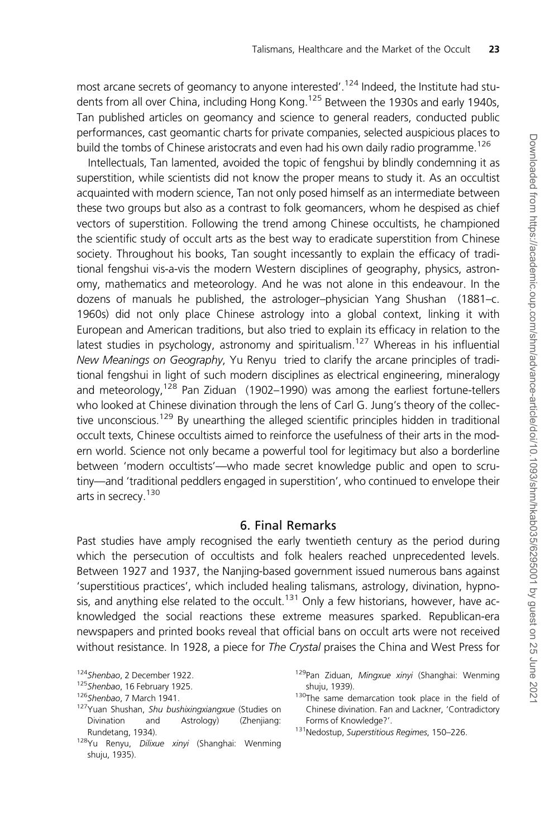most arcane secrets of geomancy to anyone interested'.<sup>124</sup> Indeed, the Institute had students from all over China, including Hong Kong.<sup>125</sup> Between the 1930s and early 1940s, Tan published articles on geomancy and science to general readers, conducted public performances, cast geomantic charts for private companies, selected auspicious places to build the tombs of Chinese aristocrats and even had his own daily radio programme.<sup>126</sup>

Intellectuals, Tan lamented, avoided the topic of fengshui by blindly condemning it as superstition, while scientists did not know the proper means to study it. As an occultist acquainted with modern science, Tan not only posed himself as an intermediate between these two groups but also as a contrast to folk geomancers, whom he despised as chief vectors of superstition. Following the trend among Chinese occultists, he championed the scientific study of occult arts as the best way to eradicate superstition from Chinese society. Throughout his books, Tan sought incessantly to explain the efficacy of traditional fengshui vis-a-vis the modern Western disciplines of geography, physics, astronomy, mathematics and meteorology. And he was not alone in this endeavour. In the dozens of manuals he published, the astrologer–physician Yang Shushan (1881–c. 1960s) did not only place Chinese astrology into a global context, linking it with European and American traditions, but also tried to explain its efficacy in relation to the latest studies in psychology, astronomy and spiritualism.<sup>127</sup> Whereas in his influential New Meanings on Geography, Yu Renyu tried to clarify the arcane principles of traditional fengshui in light of such modern disciplines as electrical engineering, mineralogy and meteorology,  $128$  Pan Ziduan (1902–1990) was among the earliest fortune-tellers who looked at Chinese divination through the lens of Carl G. Jung's theory of the collective unconscious.<sup>129</sup> By unearthing the alleged scientific principles hidden in traditional occult texts, Chinese occultists aimed to reinforce the usefulness of their arts in the modern world. Science not only became a powerful tool for legitimacy but also a borderline between 'modern occultists'—who made secret knowledge public and open to scrutiny—and 'traditional peddlers engaged in superstition', who continued to envelope their arts in secrecy.<sup>130</sup>

### 6. Final Remarks

Past studies have amply recognised the early twentieth century as the period during which the persecution of occultists and folk healers reached unprecedented levels. Between 1927 and 1937, the Nanjing-based government issued numerous bans against 'superstitious practices', which included healing talismans, astrology, divination, hypnosis, and anything else related to the occult.<sup>131</sup> Only a few historians, however, have acknowledged the social reactions these extreme measures sparked. Republican-era newspapers and printed books reveal that official bans on occult arts were not received without resistance. In 1928, a piece for The Crystal praises the China and West Press for

<sup>124</sup> Shenbao, 2 December 1922.

<sup>125</sup> Shenbao, 16 February 1925.

<sup>126</sup> Shenbao, 7 March 1941.

<sup>127</sup>Yuan Shushan, Shu bushixingxiangxue (Studies on Divination and Astrology) (Zhenjiang: Rundetang, 1934).

<sup>128</sup>Yu Renyu, Dilixue xinyi (Shanghai: Wenming shuju, 1935).

<sup>129</sup>Pan Ziduan, Mingxue xinyi (Shanghai: Wenming shuju, 1939).

<sup>&</sup>lt;sup>130</sup>The same demarcation took place in the field of Chinese divination. Fan and Lackner, 'Contradictory Forms of Knowledge?'.

<sup>131</sup>Nedostup, Superstitious Regimes, 150-226.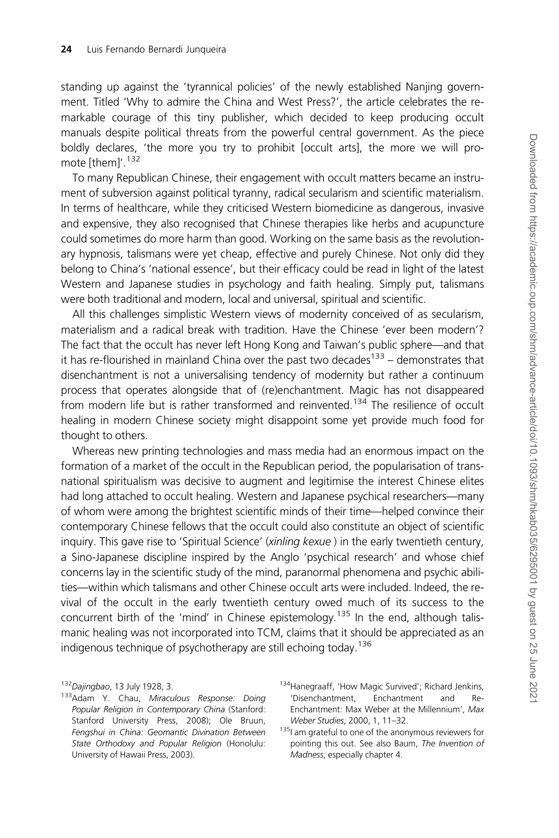standing up against the 'tyrannical policies' of the newly established Nanjing government. Titled 'Why to admire the China and West Press?', the article celebrates the remarkable courage of this tiny publisher, which decided to keep producing occult manuals despite political threats from the powerful central government. As the piece boldly declares, 'the more you try to prohibit [occult arts], the more we will promote [them]'.<sup>132</sup>

To many Republican Chinese, their engagement with occult matters became an instrument of subversion against political tyranny, radical secularism and scientific materialism. In terms of healthcare, while they criticised Western biomedicine as dangerous, invasive and expensive, they also recognised that Chinese therapies like herbs and acupuncture could sometimes do more harm than good. Working on the same basis as the revolutionary hypnosis, talismans were yet cheap, effective and purely Chinese. Not only did they belong to China's 'national essence', but their efficacy could be read in light of the latest Western and Japanese studies in psychology and faith healing. Simply put, talismans were both traditional and modern, local and universal, spiritual and scientific.

All this challenges simplistic Western views of modernity conceived of as secularism, materialism and a radical break with tradition. Have the Chinese 'ever been modern'? The fact that the occult has never left Hong Kong and Taiwan's public sphere—and that it has re-flourished in mainland China over the past two decades<sup>133</sup> – demonstrates that disenchantment is not a universalising tendency of modernity but rather a continuum process that operates alongside that of (re)enchantment. Magic has not disappeared from modern life but is rather transformed and reinvented.<sup>134</sup> The resilience of occult healing in modern Chinese society might disappoint some yet provide much food for thought to others.

Whereas new printing technologies and mass media had an enormous impact on the formation of a market of the occult in the Republican period, the popularisation of transnational spiritualism was decisive to augment and legitimise the interest Chinese elites had long attached to occult healing. Western and Japanese psychical researchers—many of whom were among the brightest scientific minds of their time—helped convince their contemporary Chinese fellows that the occult could also constitute an object of scientific inquiry. This gave rise to 'Spiritual Science' (xinling kexue) in the early twentieth century, a Sino-Japanese discipline inspired by the Anglo 'psychical research' and whose chief concerns lay in the scientific study of the mind, paranormal phenomena and psychic abilities—within which talismans and other Chinese occult arts were included. Indeed, the revival of the occult in the early twentieth century owed much of its success to the concurrent birth of the 'mind' in Chinese epistemology.<sup>135</sup> In the end, although talismanic healing was not incorporated into TCM, claims that it should be appreciated as an indigenous technique of psychotherapy are still echoing today.<sup>136</sup>

<sup>132</sup> Dajingbao, 13 July 1928, 3.

<sup>133</sup> Adam Y. Chau, Miraculous Response: Doing Popular Religion in Contemporary China (Stanford: Stanford University Press, 2008); Ole Bruun, Fengshui in China: Geomantic Divination Between State Orthodoxy and Popular Religion (Honolulu: University of Hawaii Press, 2003).

<sup>134</sup>Hanegraaff, 'How Magic Survived'; Richard Jenkins, 'Disenchantment, Enchantment and Re-Enchantment: Max Weber at the Millennium', Max Weber Studies, 2000, 1, 11–32.

<sup>135|</sup> am grateful to one of the anonymous reviewers for pointing this out. See also Baum, The Invention of Madness, especially chapter 4.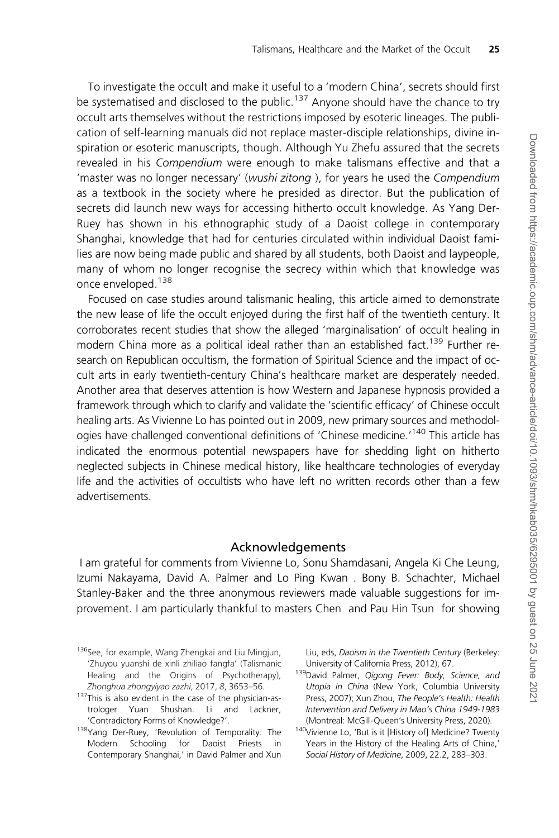To investigate the occult and make it useful to a 'modern China', secrets should first be systematised and disclosed to the public.<sup>137</sup> Anyone should have the chance to try occult arts themselves without the restrictions imposed by esoteric lineages. The publication of self-learning manuals did not replace master-disciple relationships, divine inspiration or esoteric manuscripts, though. Although Yu Zhefu assured that the secrets revealed in his Compendium were enough to make talismans effective and that a 'master was no longer necessary' (wushi zitong ), for years he used the Compendium as a textbook in the society where he presided as director. But the publication of secrets did launch new ways for accessing hitherto occult knowledge. As Yang Der-Ruey has shown in his ethnographic study of a Daoist college in contemporary Shanghai, knowledge that had for centuries circulated within individual Daoist families are now being made public and shared by all students, both Daoist and laypeople, many of whom no longer recognise the secrecy within which that knowledge was once enveloped.<sup>138</sup>

Focused on case studies around talismanic healing, this article aimed to demonstrate the new lease of life the occult enjoyed during the first half of the twentieth century. It corroborates recent studies that show the alleged 'marginalisation' of occult healing in modern China more as a political ideal rather than an established fact.<sup>139</sup> Further research on Republican occultism, the formation of Spiritual Science and the impact of occult arts in early twentieth-century China's healthcare market are desperately needed. Another area that deserves attention is how Western and Japanese hypnosis provided a framework through which to clarify and validate the 'scientific efficacy' of Chinese occult healing arts. As Vivienne Lo has pointed out in 2009, new primary sources and methodologies have challenged conventional definitions of 'Chinese medicine.<sup>'140</sup> This article has indicated the enormous potential newspapers have for shedding light on hitherto neglected subjects in Chinese medical history, like healthcare technologies of everyday life and the activities of occultists who have left no written records other than a few advertisements.

#### Acknowledgements

I am grateful for comments from Vivienne Lo, Sonu Shamdasani, Angela Ki Che Leung, Izumi Nakayama, David A. Palmer and Lo Ping Kwan . Bony B. Schachter, Michael Stanley-Baker and the three anonymous reviewers made valuable suggestions for improvement. I am particularly thankful to masters Chen and Pau Hin Tsun for showing

Liu, eds, Daoism in the Twentieth Century (Berkeley: University of California Press, 2012), 67.

139David Palmer, Qigong Fever: Body, Science, and Utopia in China (New York, Columbia University Press, 2007); Xun Zhou, The People's Health: Health Intervention and Delivery in Mao's China 1949-1983 (Montreal: McGill-Queen's University Press, 2020).

 $140$ Vivienne Lo, 'But is it [History of] Medicine? Twenty Years in the History of the Healing Arts of China,' Social History of Medicine, 2009, 22.2, 283–303.

<sup>136</sup>See, for example, Wang Zhengkai and Liu Mingjun, 'Zhuyou yuanshi de xinli zhiliao fangfa' (Talismanic Healing and the Origins of Psychotherapy), Zhonghua zhongyiyao zazhi, 2017, 8, 3653–56.

<sup>&</sup>lt;sup>137</sup>This is also evident in the case of the physician-astrologer Yuan Shushan. Li and Lackner, 'Contradictory Forms of Knowledge?'.

<sup>138</sup>Yang Der-Ruey, 'Revolution of Temporality: The Modern Schooling for Daoist Priests in Contemporary Shanghai,' in David Palmer and Xun